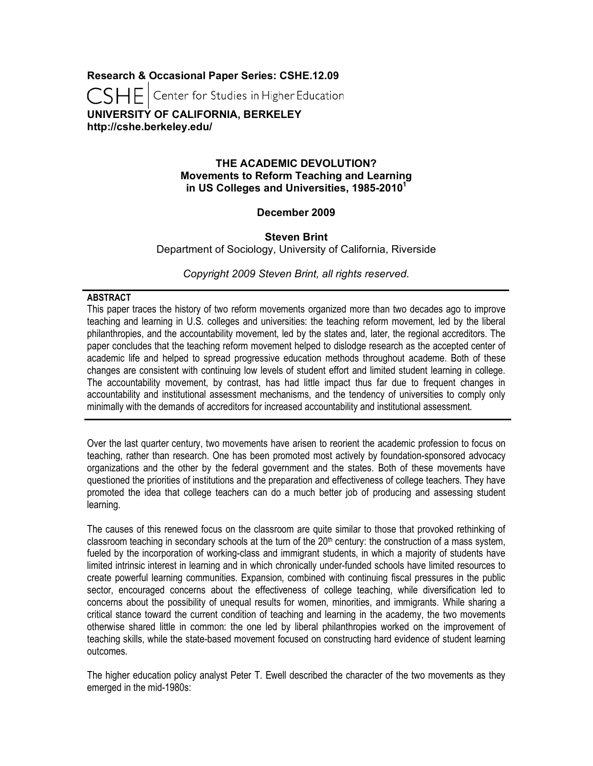**Research & Occasional Paper Series: CSHE.12.09**

**CSHE** Center for Studies in Higher Education

**UNIVERSITY OF CALIFORNIA, BERKELEY http://cshe.berkeley.edu/**

## **THE ACADEMIC DEVOLUTION? Movements to Reform Teaching and Learning in US Colleges and Universities, 1985-20101**

# **December 2009**

## **Steven Brint**

Department of Sociology, University of California, Riverside

*Copyright 2009 Steven Brint, all rights reserved.*

### **ABSTRACT**

This paper traces the history of two reform movements organized more than two decades ago to improve teaching and learning in U.S. colleges and universities: the teaching reform movement, led by the liberal philanthropies, and the accountability movement, led by the states and, later, the regional accreditors. The paper concludes that the teaching reform movement helped to dislodge research as the accepted center of academic life and helped to spread progressive education methods throughout academe. Both of these changes are consistent with continuing low levels of student effort and limited student learning in college. The accountability movement, by contrast, has had little impact thus far due to frequent changes in accountability and institutional assessment mechanisms, and the tendency of universities to comply only minimally with the demands of accreditors for increased accountability and institutional assessment.

Over the last quarter century, two movements have arisen to reorient the academic profession to focus on teaching, rather than research. One has been promoted most actively by foundation-sponsored advocacy organizations and the other by the federal government and the states. Both of these movements have questioned the priorities of institutions and the preparation and effectiveness of college teachers. They have promoted the idea that college teachers can do a much better job of producing and assessing student learning.

The causes of this renewed focus on the classroom are quite similar to those that provoked rethinking of classroom teaching in secondary schools at the turn of the  $20<sup>th</sup>$  century: the construction of a mass system, fueled by the incorporation of working-class and immigrant students, in which a majority of students have limited intrinsic interest in learning and in which chronically under-funded schools have limited resources to create powerful learning communities. Expansion, combined with continuing fiscal pressures in the public sector, encouraged concerns about the effectiveness of college teaching, while diversification led to concerns about the possibility of unequal results for women, minorities, and immigrants. While sharing a critical stance toward the current condition of teaching and learning in the academy, the two movements otherwise shared little in common: the one led by liberal philanthropies worked on the improvement of teaching skills, while the state-based movement focused on constructing hard evidence of student learning outcomes.

The higher education policy analyst Peter T. Ewell described the character of the two movements as they emerged in the mid-1980s: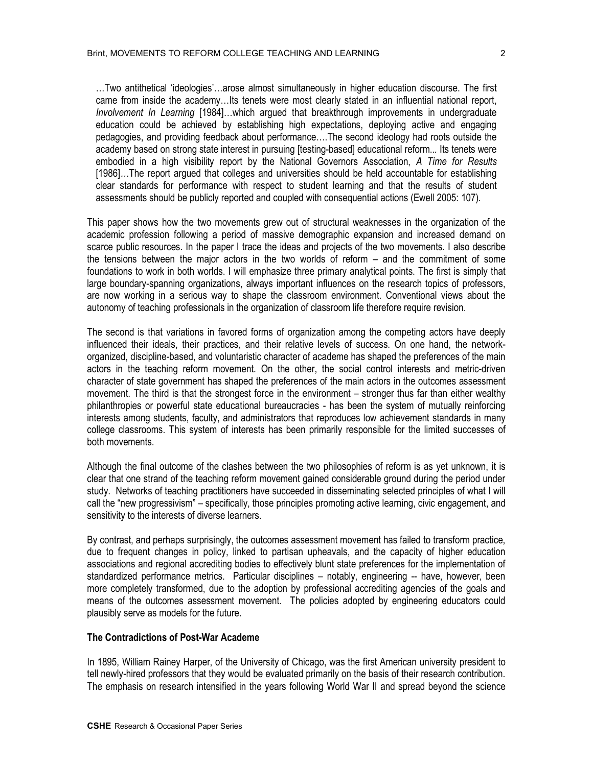…Two antithetical 'ideologies'…arose almost simultaneously in higher education discourse. The first came from inside the academy…Its tenets were most clearly stated in an influential national report, *Involvement In Learning* [1984]…which argued that breakthrough improvements in undergraduate education could be achieved by establishing high expectations, deploying active and engaging pedagogies, and providing feedback about performance….The second ideology had roots outside the academy based on strong state interest in pursuing [testing-based] educational reform..*.* Its tenets were embodied in a high visibility report by the National Governors Association, *A Time for Results* [1986]...The report argued that colleges and universities should be held accountable for establishing clear standards for performance with respect to student learning and that the results of student assessments should be publicly reported and coupled with consequential actions (Ewell 2005: 107).

This paper shows how the two movements grew out of structural weaknesses in the organization of the academic profession following a period of massive demographic expansion and increased demand on scarce public resources. In the paper I trace the ideas and projects of the two movements. I also describe the tensions between the major actors in the two worlds of reform – and the commitment of some foundations to work in both worlds. I will emphasize three primary analytical points. The first is simply that large boundary-spanning organizations, always important influences on the research topics of professors, are now working in a serious way to shape the classroom environment. Conventional views about the autonomy of teaching professionals in the organization of classroom life therefore require revision.

The second is that variations in favored forms of organization among the competing actors have deeply influenced their ideals, their practices, and their relative levels of success. On one hand, the networkorganized, discipline-based, and voluntaristic character of academe has shaped the preferences of the main actors in the teaching reform movement. On the other, the social control interests and metric-driven character of state government has shaped the preferences of the main actors in the outcomes assessment movement. The third is that the strongest force in the environment – stronger thus far than either wealthy philanthropies or powerful state educational bureaucracies - has been the system of mutually reinforcing interests among students, faculty, and administrators that reproduces low achievement standards in many college classrooms. This system of interests has been primarily responsible for the limited successes of both movements.

Although the final outcome of the clashes between the two philosophies of reform is as yet unknown, it is clear that one strand of the teaching reform movement gained considerable ground during the period under study. Networks of teaching practitioners have succeeded in disseminating selected principles of what I will call the "new progressivism" – specifically, those principles promoting active learning, civic engagement, and sensitivity to the interests of diverse learners.

By contrast, and perhaps surprisingly, the outcomes assessment movement has failed to transform practice, due to frequent changes in policy, linked to partisan upheavals, and the capacity of higher education associations and regional accrediting bodies to effectively blunt state preferences for the implementation of standardized performance metrics. Particular disciplines – notably, engineering -- have, however, been more completely transformed, due to the adoption by professional accrediting agencies of the goals and means of the outcomes assessment movement. The policies adopted by engineering educators could plausibly serve as models for the future.

#### **The Contradictions of Post-War Academe**

In 1895, William Rainey Harper, of the University of Chicago, was the first American university president to tell newly-hired professors that they would be evaluated primarily on the basis of their research contribution. The emphasis on research intensified in the years following World War II and spread beyond the science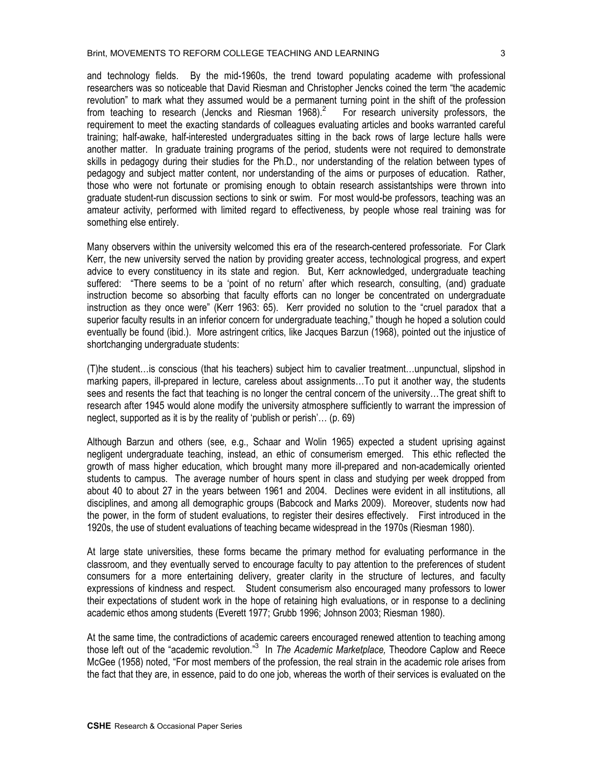#### Brint, MOVEMENTS TO REFORM COLLEGE TEACHING AND LEARNING

and technology fields. By the mid-1960s, the trend toward populating academe with professional researchers was so noticeable that David Riesman and Christopher Jencks coined the term "the academic revolution" to mark what they assumed would be a permanent turning point in the shift of the profession from teaching to research (Jencks and Riesman 1968).<sup>2</sup> For research university professors, the requirement to meet the exacting standards of colleagues evaluating articles and books warranted careful training; half-awake, half-interested undergraduates sitting in the back rows of large lecture halls were another matter. In graduate training programs of the period, students were not required to demonstrate skills in pedagogy during their studies for the Ph.D., nor understanding of the relation between types of pedagogy and subject matter content, nor understanding of the aims or purposes of education. Rather, those who were not fortunate or promising enough to obtain research assistantships were thrown into graduate student-run discussion sections to sink or swim. For most would-be professors, teaching was an amateur activity, performed with limited regard to effectiveness, by people whose real training was for something else entirely.

Many observers within the university welcomed this era of the research-centered professoriate. For Clark Kerr, the new university served the nation by providing greater access, technological progress, and expert advice to every constituency in its state and region. But, Kerr acknowledged, undergraduate teaching suffered: "There seems to be a 'point of no return' after which research, consulting, (and) graduate instruction become so absorbing that faculty efforts can no longer be concentrated on undergraduate instruction as they once were" (Kerr 1963: 65). Kerr provided no solution to the "cruel paradox that a superior faculty results in an inferior concern for undergraduate teaching," though he hoped a solution could eventually be found (ibid.). More astringent critics, like Jacques Barzun (1968), pointed out the injustice of shortchanging undergraduate students:

(T)he student…is conscious (that his teachers) subject him to cavalier treatment…unpunctual, slipshod in marking papers, ill-prepared in lecture, careless about assignments…To put it another way, the students sees and resents the fact that teaching is no longer the central concern of the university…The great shift to research after 1945 would alone modify the university atmosphere sufficiently to warrant the impression of neglect, supported as it is by the reality of 'publish or perish'… (p. 69)

Although Barzun and others (see, e.g., Schaar and Wolin 1965) expected a student uprising against negligent undergraduate teaching, instead, an ethic of consumerism emerged. This ethic reflected the growth of mass higher education, which brought many more ill-prepared and non-academically oriented students to campus. The average number of hours spent in class and studying per week dropped from about 40 to about 27 in the years between 1961 and 2004. Declines were evident in all institutions, all disciplines, and among all demographic groups (Babcock and Marks 2009). Moreover, students now had the power, in the form of student evaluations, to register their desires effectively. First introduced in the 1920s, the use of student evaluations of teaching became widespread in the 1970s (Riesman 1980).

At large state universities, these forms became the primary method for evaluating performance in the classroom, and they eventually served to encourage faculty to pay attention to the preferences of student consumers for a more entertaining delivery, greater clarity in the structure of lectures, and faculty expressions of kindness and respect. Student consumerism also encouraged many professors to lower their expectations of student work in the hope of retaining high evaluations, or in response to a declining academic ethos among students (Everett 1977; Grubb 1996; Johnson 2003; Riesman 1980).

At the same time, the contradictions of academic careers encouraged renewed attention to teaching among those left out of the "academic revolution." <sup>3</sup> In *The Academic Marketplace,* Theodore Caplow and Reece McGee (1958) noted, "For most members of the profession, the real strain in the academic role arises from the fact that they are, in essence, paid to do one job, whereas the worth of their services is evaluated on the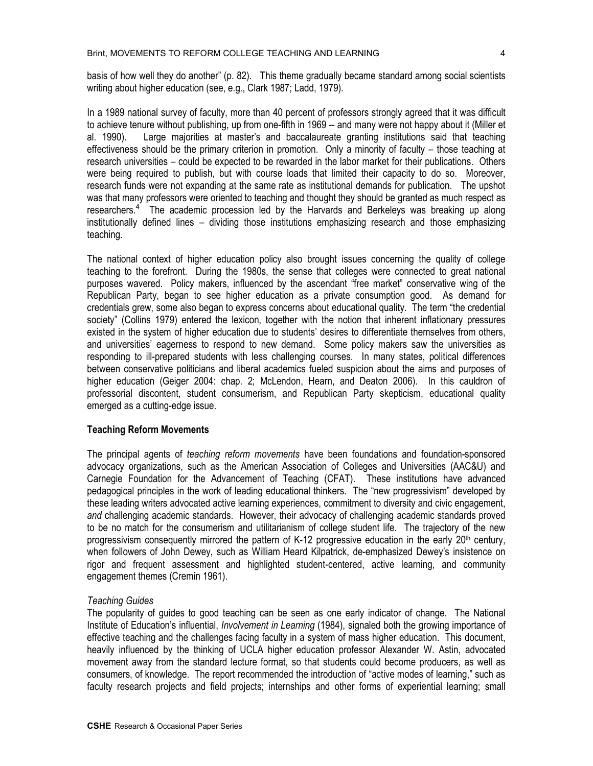basis of how well they do another" (p. 82). This theme gradually became standard among social scientists writing about higher education (see, e.g., Clark 1987; Ladd, 1979).

In a 1989 national survey of faculty, more than 40 percent of professors strongly agreed that it was difficult to achieve tenure without publishing, up from one-fifth in 1969 -- and many were not happy about it (Miller et al. 1990). Large majorities at master's and baccalaureate granting institutions said that teaching effectiveness should be the primary criterion in promotion. Only a minority of faculty – those teaching at research universities – could be expected to be rewarded in the labor market for their publications. Others were being required to publish, but with course loads that limited their capacity to do so. Moreover, research funds were not expanding at the same rate as institutional demands for publication. The upshot was that many professors were oriented to teaching and thought they should be granted as much respect as researchers.<sup>4</sup> The academic procession led by the Harvards and Berkeleys was breaking up along institutionally defined lines – dividing those institutions emphasizing research and those emphasizing teaching.

The national context of higher education policy also brought issues concerning the quality of college teaching to the forefront. During the 1980s, the sense that colleges were connected to great national purposes wavered. Policy makers, influenced by the ascendant "free market" conservative wing of the Republican Party, began to see higher education as a private consumption good. As demand for credentials grew, some also began to express concerns about educational quality. The term "the credential society" (Collins 1979) entered the lexicon, together with the notion that inherent inflationary pressures existed in the system of higher education due to students' desires to differentiate themselves from others, and universities' eagerness to respond to new demand. Some policy makers saw the universities as responding to ill-prepared students with less challenging courses. In many states, political differences between conservative politicians and liberal academics fueled suspicion about the aims and purposes of higher education (Geiger 2004: chap. 2; McLendon, Hearn, and Deaton 2006). In this cauldron of professorial discontent, student consumerism, and Republican Party skepticism, educational quality emerged as a cutting-edge issue.

#### **Teaching Reform Movements**

The principal agents of *teaching reform movements* have been foundations and foundation-sponsored advocacy organizations, such as the American Association of Colleges and Universities (AAC&U) and Carnegie Foundation for the Advancement of Teaching (CFAT). These institutions have advanced pedagogical principles in the work of leading educational thinkers. The "new progressivism" developed by these leading writers advocated active learning experiences, commitment to diversity and civic engagement, *and* challenging academic standards. However, their advocacy of challenging academic standards proved to be no match for the consumerism and utilitarianism of college student life. The trajectory of the new progressivism consequently mirrored the pattern of K-12 progressive education in the early  $20<sup>th</sup>$  century, when followers of John Dewey, such as William Heard Kilpatrick, de-emphasized Dewey's insistence on rigor and frequent assessment and highlighted student-centered, active learning, and community engagement themes (Cremin 1961).

### *Teaching Guides*

The popularity of guides to good teaching can be seen as one early indicator of change. The National Institute of Education's influential, *Involvement in Learning* (1984), signaled both the growing importance of effective teaching and the challenges facing faculty in a system of mass higher education. This document, heavily influenced by the thinking of UCLA higher education professor Alexander W. Astin, advocated movement away from the standard lecture format, so that students could become producers, as well as consumers, of knowledge. The report recommended the introduction of "active modes of learning," such as faculty research projects and field projects; internships and other forms of experiential learning; small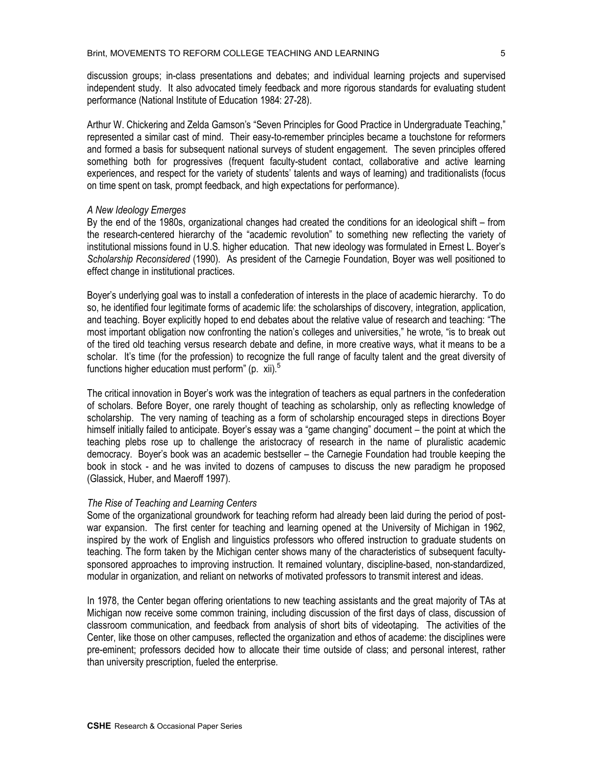discussion groups; in-class presentations and debates; and individual learning projects and supervised independent study. It also advocated timely feedback and more rigorous standards for evaluating student performance (National Institute of Education 1984: 27-28).

Arthur W. Chickering and Zelda Gamson's "Seven Principles for Good Practice in Undergraduate Teaching," represented a similar cast of mind. Their easy-to-remember principles became a touchstone for reformers and formed a basis for subsequent national surveys of student engagement. The seven principles offered something both for progressives (frequent faculty-student contact, collaborative and active learning experiences, and respect for the variety of students' talents and ways of learning) and traditionalists (focus on time spent on task, prompt feedback, and high expectations for performance).

### *A New Ideology Emerges*

By the end of the 1980s, organizational changes had created the conditions for an ideological shift – from the research-centered hierarchy of the "academic revolution" to something new reflecting the variety of institutional missions found in U.S. higher education. That new ideology was formulated in Ernest L. Boyer's *Scholarship Reconsidered* (1990)*.* As president of the Carnegie Foundation, Boyer was well positioned to effect change in institutional practices.

Boyer's underlying goal was to install a confederation of interests in the place of academic hierarchy. To do so, he identified four legitimate forms of academic life: the scholarships of discovery, integration, application, and teaching. Boyer explicitly hoped to end debates about the relative value of research and teaching: "The most important obligation now confronting the nation's colleges and universities," he wrote, "is to break out of the tired old teaching versus research debate and define, in more creative ways, what it means to be a scholar. It's time (for the profession) to recognize the full range of faculty talent and the great diversity of functions higher education must perform" (p. xii).<sup>5</sup>

The critical innovation in Boyer's work was the integration of teachers as equal partners in the confederation of scholars. Before Boyer, one rarely thought of teaching as scholarship, only as reflecting knowledge of scholarship. The very naming of teaching as a form of scholarship encouraged steps in directions Boyer himself initially failed to anticipate. Boyer's essay was a "game changing" document – the point at which the teaching plebs rose up to challenge the aristocracy of research in the name of pluralistic academic democracy. Boyer's book was an academic bestseller – the Carnegie Foundation had trouble keeping the book in stock - and he was invited to dozens of campuses to discuss the new paradigm he proposed (Glassick, Huber, and Maeroff 1997).

#### *The Rise of Teaching and Learning Centers*

Some of the organizational groundwork for teaching reform had already been laid during the period of postwar expansion. The first center for teaching and learning opened at the University of Michigan in 1962, inspired by the work of English and linguistics professors who offered instruction to graduate students on teaching. The form taken by the Michigan center shows many of the characteristics of subsequent facultysponsored approaches to improving instruction. It remained voluntary, discipline-based, non-standardized, modular in organization, and reliant on networks of motivated professors to transmit interest and ideas.

In 1978, the Center began offering orientations to new teaching assistants and the great majority of TAs at Michigan now receive some common training, including discussion of the first days of class, discussion of classroom communication, and feedback from analysis of short bits of videotaping. The activities of the Center, like those on other campuses, reflected the organization and ethos of academe: the disciplines were pre-eminent; professors decided how to allocate their time outside of class; and personal interest, rather than university prescription, fueled the enterprise.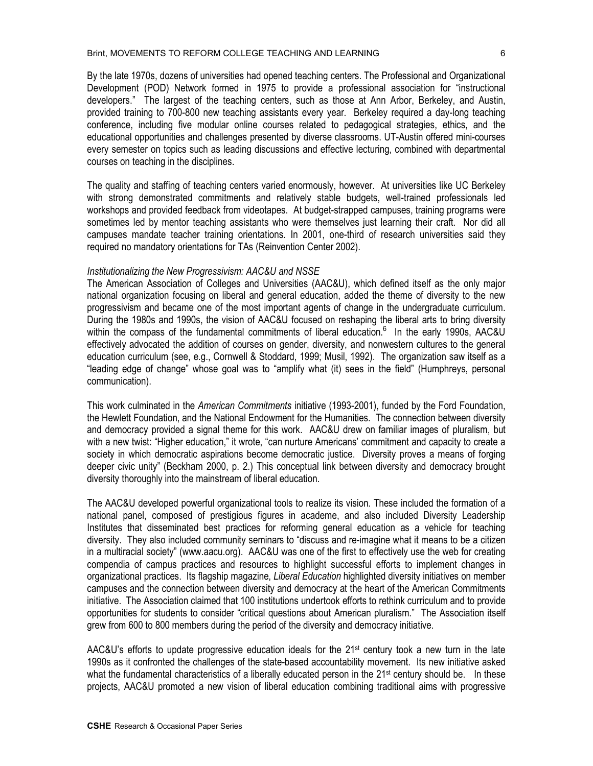By the late 1970s, dozens of universities had opened teaching centers. The Professional and Organizational Development (POD) Network formed in 1975 to provide a professional association for "instructional developers." The largest of the teaching centers, such as those at Ann Arbor, Berkeley, and Austin, provided training to 700-800 new teaching assistants every year. Berkeley required a day-long teaching conference, including five modular online courses related to pedagogical strategies, ethics, and the educational opportunities and challenges presented by diverse classrooms. UT-Austin offered mini-courses every semester on topics such as leading discussions and effective lecturing, combined with departmental courses on teaching in the disciplines.

The quality and staffing of teaching centers varied enormously, however. At universities like UC Berkeley with strong demonstrated commitments and relatively stable budgets, well-trained professionals led workshops and provided feedback from videotapes. At budget-strapped campuses, training programs were sometimes led by mentor teaching assistants who were themselves just learning their craft. Nor did all campuses mandate teacher training orientations. In 2001, one-third of research universities said they required no mandatory orientations for TAs (Reinvention Center 2002).

### *Institutionalizing the New Progressivism: AAC&U and NSSE*

The American Association of Colleges and Universities (AAC&U), which defined itself as the only major national organization focusing on liberal and general education, added the theme of diversity to the new progressivism and became one of the most important agents of change in the undergraduate curriculum. During the 1980s and 1990s, the vision of AAC&U focused on reshaping the liberal arts to bring diversity within the compass of the fundamental commitments of liberal education.<sup>6</sup> In the early 1990s, AAC&U effectively advocated the addition of courses on gender, diversity, and nonwestern cultures to the general education curriculum (see, e.g., Cornwell & Stoddard, 1999; Musil, 1992). The organization saw itself as a "leading edge of change" whose goal was to "amplify what (it) sees in the field" (Humphreys, personal communication).

This work culminated in the *American Commitments* initiative (1993-2001), funded by the Ford Foundation, the Hewlett Foundation, and the National Endowment for the Humanities. The connection between diversity and democracy provided a signal theme for this work. AAC&U drew on familiar images of pluralism, but with a new twist: "Higher education," it wrote, "can nurture Americans' commitment and capacity to create a society in which democratic aspirations become democratic justice. Diversity proves a means of forging deeper civic unity" (Beckham 2000, p. 2.) This conceptual link between diversity and democracy brought diversity thoroughly into the mainstream of liberal education.

The AAC&U developed powerful organizational tools to realize its vision. These included the formation of a national panel, composed of prestigious figures in academe, and also included Diversity Leadership Institutes that disseminated best practices for reforming general education as a vehicle for teaching diversity. They also included community seminars to "discuss and re-imagine what it means to be a citizen in a multiracial society" (www.aacu.org). AAC&U was one of the first to effectively use the web for creating compendia of campus practices and resources to highlight successful efforts to implement changes in organizational practices. Its flagship magazine, *Liberal Education* highlighted diversity initiatives on member campuses and the connection between diversity and democracy at the heart of the American Commitments initiative. The Association claimed that 100 institutions undertook efforts to rethink curriculum and to provide opportunities for students to consider "critical questions about American pluralism." The Association itself grew from 600 to 800 members during the period of the diversity and democracy initiative.

AAC&U's efforts to update progressive education ideals for the  $21^{st}$  century took a new turn in the late 1990s as it confronted the challenges of the state-based accountability movement. Its new initiative asked what the fundamental characteristics of a liberally educated person in the  $21<sup>st</sup>$  century should be. In these projects, AAC&U promoted a new vision of liberal education combining traditional aims with progressive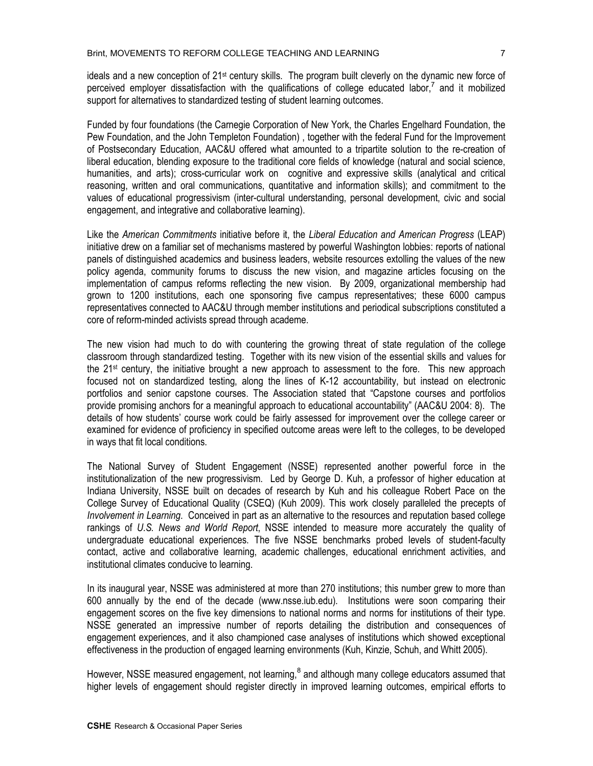ideals and a new conception of 21st century skills. The program built cleverly on the dynamic new force of perceived employer dissatisfaction with the qualifications of college educated labor,<sup>7</sup> and it mobilized support for alternatives to standardized testing of student learning outcomes.

Funded by four foundations (the Carnegie Corporation of New York, the Charles Engelhard Foundation, the Pew Foundation, and the John Templeton Foundation) , together with the federal Fund for the Improvement of Postsecondary Education, AAC&U offered what amounted to a tripartite solution to the re-creation of liberal education, blending exposure to the traditional core fields of knowledge (natural and social science, humanities, and arts); cross-curricular work on cognitive and expressive skills (analytical and critical reasoning, written and oral communications, quantitative and information skills); and commitment to the values of educational progressivism (inter-cultural understanding, personal development, civic and social engagement, and integrative and collaborative learning).

Like the *American Commitments* initiative before it, the *Liberal Education and American Progress* (LEAP) initiative drew on a familiar set of mechanisms mastered by powerful Washington lobbies: reports of national panels of distinguished academics and business leaders, website resources extolling the values of the new policy agenda, community forums to discuss the new vision, and magazine articles focusing on the implementation of campus reforms reflecting the new vision. By 2009, organizational membership had grown to 1200 institutions, each one sponsoring five campus representatives; these 6000 campus representatives connected to AAC&U through member institutions and periodical subscriptions constituted a core of reform-minded activists spread through academe.

The new vision had much to do with countering the growing threat of state regulation of the college classroom through standardized testing. Together with its new vision of the essential skills and values for the 21st century, the initiative brought a new approach to assessment to the fore. This new approach focused not on standardized testing, along the lines of K-12 accountability, but instead on electronic portfolios and senior capstone courses. The Association stated that "Capstone courses and portfolios provide promising anchors for a meaningful approach to educational accountability" (AAC&U 2004: 8). The details of how students' course work could be fairly assessed for improvement over the college career or examined for evidence of proficiency in specified outcome areas were left to the colleges, to be developed in ways that fit local conditions.

The National Survey of Student Engagement (NSSE) represented another powerful force in the institutionalization of the new progressivism. Led by George D. Kuh, a professor of higher education at Indiana University, NSSE built on decades of research by Kuh and his colleague Robert Pace on the College Survey of Educational Quality (CSEQ) (Kuh 2009). This work closely paralleled the precepts of *Involvement in Learning*. Conceived in part as an alternative to the resources and reputation based college rankings of *U.S. News and World Report*, NSSE intended to measure more accurately the quality of undergraduate educational experiences. The five NSSE benchmarks probed levels of student-faculty contact, active and collaborative learning, academic challenges, educational enrichment activities, and institutional climates conducive to learning.

In its inaugural year, NSSE was administered at more than 270 institutions; this number grew to more than 600 annually by the end of the decade (www.nsse.iub.edu). Institutions were soon comparing their engagement scores on the five key dimensions to national norms and norms for institutions of their type. NSSE generated an impressive number of reports detailing the distribution and consequences of engagement experiences, and it also championed case analyses of institutions which showed exceptional effectiveness in the production of engaged learning environments (Kuh, Kinzie, Schuh, and Whitt 2005).

However, NSSE measured engagement, not learning,<sup>8</sup> and although many college educators assumed that higher levels of engagement should register directly in improved learning outcomes, empirical efforts to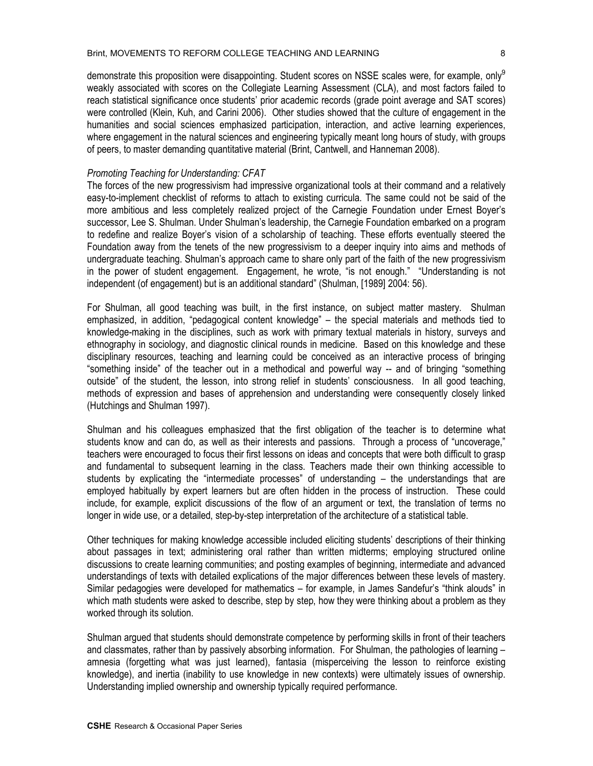demonstrate this proposition were disappointing. Student scores on NSSE scales were, for example, only<sup>9</sup> weakly associated with scores on the Collegiate Learning Assessment (CLA), and most factors failed to reach statistical significance once students' prior academic records (grade point average and SAT scores) were controlled (Klein, Kuh, and Carini 2006). Other studies showed that the culture of engagement in the humanities and social sciences emphasized participation, interaction, and active learning experiences, where engagement in the natural sciences and engineering typically meant long hours of study, with groups of peers, to master demanding quantitative material (Brint, Cantwell, and Hanneman 2008).

#### *Promoting Teaching for Understanding: CFAT*

The forces of the new progressivism had impressive organizational tools at their command and a relatively easy-to-implement checklist of reforms to attach to existing curricula. The same could not be said of the more ambitious and less completely realized project of the Carnegie Foundation under Ernest Boyer's successor, Lee S. Shulman. Under Shulman's leadership, the Carnegie Foundation embarked on a program to redefine and realize Boyer's vision of a scholarship of teaching. These efforts eventually steered the Foundation away from the tenets of the new progressivism to a deeper inquiry into aims and methods of undergraduate teaching. Shulman's approach came to share only part of the faith of the new progressivism in the power of student engagement. Engagement, he wrote, "is not enough." "Understanding is not independent (of engagement) but is an additional standard" (Shulman, [1989] 2004: 56).

For Shulman, all good teaching was built, in the first instance, on subject matter mastery. Shulman emphasized, in addition, "pedagogical content knowledge" – the special materials and methods tied to knowledge-making in the disciplines, such as work with primary textual materials in history, surveys and ethnography in sociology, and diagnostic clinical rounds in medicine. Based on this knowledge and these disciplinary resources, teaching and learning could be conceived as an interactive process of bringing "something inside" of the teacher out in a methodical and powerful way -- and of bringing "something outside" of the student, the lesson, into strong relief in students' consciousness. In all good teaching, methods of expression and bases of apprehension and understanding were consequently closely linked (Hutchings and Shulman 1997).

Shulman and his colleagues emphasized that the first obligation of the teacher is to determine what students know and can do, as well as their interests and passions. Through a process of "uncoverage," teachers were encouraged to focus their first lessons on ideas and concepts that were both difficult to grasp and fundamental to subsequent learning in the class. Teachers made their own thinking accessible to students by explicating the "intermediate processes" of understanding – the understandings that are employed habitually by expert learners but are often hidden in the process of instruction. These could include, for example, explicit discussions of the flow of an argument or text, the translation of terms no longer in wide use, or a detailed, step-by-step interpretation of the architecture of a statistical table.

Other techniques for making knowledge accessible included eliciting students' descriptions of their thinking about passages in text; administering oral rather than written midterms; employing structured online discussions to create learning communities; and posting examples of beginning, intermediate and advanced understandings of texts with detailed explications of the major differences between these levels of mastery. Similar pedagogies were developed for mathematics – for example, in James Sandefur's "think alouds" in which math students were asked to describe, step by step, how they were thinking about a problem as they worked through its solution.

Shulman argued that students should demonstrate competence by performing skills in front of their teachers and classmates, rather than by passively absorbing information. For Shulman, the pathologies of learning – amnesia (forgetting what was just learned), fantasia (misperceiving the lesson to reinforce existing knowledge), and inertia (inability to use knowledge in new contexts) were ultimately issues of ownership. Understanding implied ownership and ownership typically required performance.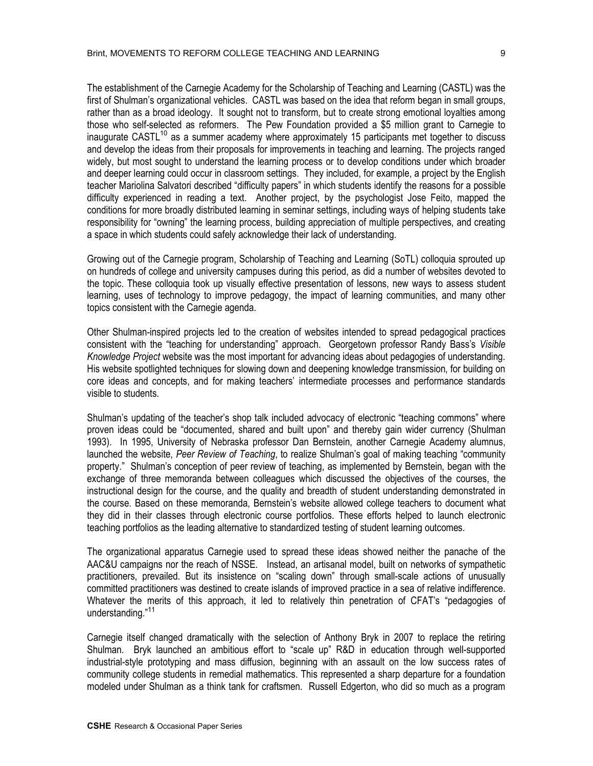The establishment of the Carnegie Academy for the Scholarship of Teaching and Learning (CASTL) was the first of Shulman's organizational vehicles. CASTL was based on the idea that reform began in small groups, rather than as a broad ideology. It sought not to transform, but to create strong emotional loyalties among those who self-selected as reformers. The Pew Foundation provided a \$5 million grant to Carnegie to inaugurate CASTL<sup>10</sup> as a summer academy where approximately 15 participants met together to discuss and develop the ideas from their proposals for improvements in teaching and learning. The projects ranged widely, but most sought to understand the learning process or to develop conditions under which broader and deeper learning could occur in classroom settings. They included, for example, a project by the English teacher Mariolina Salvatori described "difficulty papers" in which students identify the reasons for a possible difficulty experienced in reading a text. Another project, by the psychologist Jose Feito, mapped the conditions for more broadly distributed learning in seminar settings, including ways of helping students take responsibility for "owning" the learning process, building appreciation of multiple perspectives, and creating a space in which students could safely acknowledge their lack of understanding.

Growing out of the Carnegie program, Scholarship of Teaching and Learning (SoTL) colloquia sprouted up on hundreds of college and university campuses during this period, as did a number of websites devoted to the topic. These colloquia took up visually effective presentation of lessons, new ways to assess student learning, uses of technology to improve pedagogy, the impact of learning communities, and many other topics consistent with the Carnegie agenda.

Other Shulman-inspired projects led to the creation of websites intended to spread pedagogical practices consistent with the "teaching for understanding" approach. Georgetown professor Randy Bass's *Visible Knowledge Project* website was the most important for advancing ideas about pedagogies of understanding. His website spotlighted techniques for slowing down and deepening knowledge transmission, for building on core ideas and concepts, and for making teachers' intermediate processes and performance standards visible to students.

Shulman's updating of the teacher's shop talk included advocacy of electronic "teaching commons" where proven ideas could be "documented, shared and built upon" and thereby gain wider currency (Shulman 1993). In 1995, University of Nebraska professor Dan Bernstein, another Carnegie Academy alumnus, launched the website, *Peer Review of Teaching*, to realize Shulman's goal of making teaching "community property." Shulman's conception of peer review of teaching, as implemented by Bernstein, began with the exchange of three memoranda between colleagues which discussed the objectives of the courses, the instructional design for the course, and the quality and breadth of student understanding demonstrated in the course. Based on these memoranda, Bernstein's website allowed college teachers to document what they did in their classes through electronic course portfolios. These efforts helped to launch electronic teaching portfolios as the leading alternative to standardized testing of student learning outcomes.

The organizational apparatus Carnegie used to spread these ideas showed neither the panache of the AAC&U campaigns nor the reach of NSSE. Instead, an artisanal model, built on networks of sympathetic practitioners, prevailed. But its insistence on "scaling down" through small-scale actions of unusually committed practitioners was destined to create islands of improved practice in a sea of relative indifference. Whatever the merits of this approach, it led to relatively thin penetration of CFAT's "pedagogies of understanding."<sup>11</sup>

Carnegie itself changed dramatically with the selection of Anthony Bryk in 2007 to replace the retiring Shulman. Bryk launched an ambitious effort to "scale up" R&D in education through well-supported industrial-style prototyping and mass diffusion, beginning with an assault on the low success rates of community college students in remedial mathematics. This represented a sharp departure for a foundation modeled under Shulman as a think tank for craftsmen. Russell Edgerton, who did so much as a program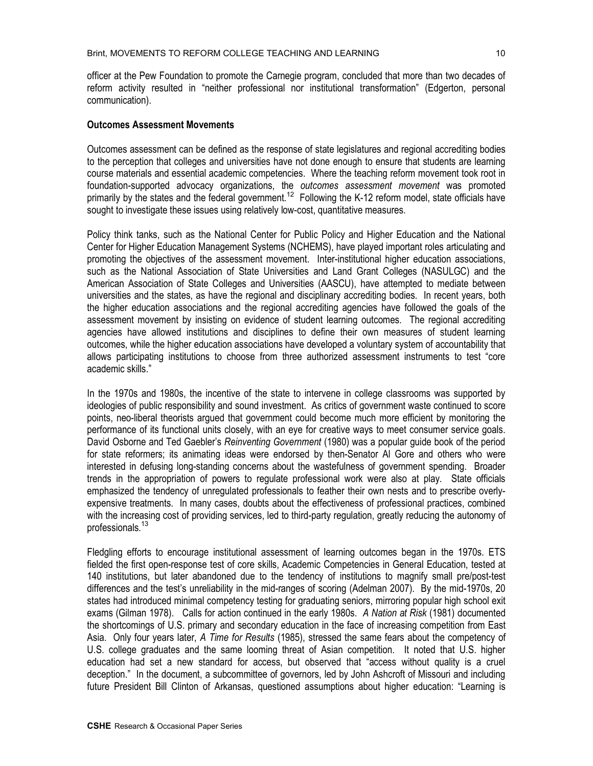officer at the Pew Foundation to promote the Carnegie program, concluded that more than two decades of reform activity resulted in "neither professional nor institutional transformation" (Edgerton, personal communication).

#### **Outcomes Assessment Movements**

Outcomes assessment can be defined as the response of state legislatures and regional accrediting bodies to the perception that colleges and universities have not done enough to ensure that students are learning course materials and essential academic competencies. Where the teaching reform movement took root in foundation-supported advocacy organizations, the *outcomes assessment movement* was promoted primarily by the states and the federal government.<sup>12</sup> Following the K-12 reform model, state officials have sought to investigate these issues using relatively low-cost, quantitative measures.

Policy think tanks, such as the National Center for Public Policy and Higher Education and the National Center for Higher Education Management Systems (NCHEMS), have played important roles articulating and promoting the objectives of the assessment movement. Inter-institutional higher education associations, such as the National Association of State Universities and Land Grant Colleges (NASULGC) and the American Association of State Colleges and Universities (AASCU), have attempted to mediate between universities and the states, as have the regional and disciplinary accrediting bodies. In recent years, both the higher education associations and the regional accrediting agencies have followed the goals of the assessment movement by insisting on evidence of student learning outcomes. The regional accrediting agencies have allowed institutions and disciplines to define their own measures of student learning outcomes, while the higher education associations have developed a voluntary system of accountability that allows participating institutions to choose from three authorized assessment instruments to test "core academic skills."

In the 1970s and 1980s, the incentive of the state to intervene in college classrooms was supported by ideologies of public responsibility and sound investment. As critics of government waste continued to score points, neo-liberal theorists argued that government could become much more efficient by monitoring the performance of its functional units closely, with an eye for creative ways to meet consumer service goals. David Osborne and Ted Gaebler's *Reinventing Government* (1980) was a popular guide book of the period for state reformers; its animating ideas were endorsed by then-Senator Al Gore and others who were interested in defusing long-standing concerns about the wastefulness of government spending. Broader trends in the appropriation of powers to regulate professional work were also at play. State officials emphasized the tendency of unregulated professionals to feather their own nests and to prescribe overlyexpensive treatments. In many cases, doubts about the effectiveness of professional practices, combined with the increasing cost of providing services, led to third-party regulation, greatly reducing the autonomy of professionals.<sup>13</sup>

Fledgling efforts to encourage institutional assessment of learning outcomes began in the 1970s. ETS fielded the first open-response test of core skills, Academic Competencies in General Education, tested at 140 institutions, but later abandoned due to the tendency of institutions to magnify small pre/post-test differences and the test's unreliability in the mid-ranges of scoring (Adelman 2007). By the mid-1970s, 20 states had introduced minimal competency testing for graduating seniors, mirroring popular high school exit exams (Gilman 1978). Calls for action continued in the early 1980s. *A Nation at Risk* (1981) documented the shortcomings of U.S. primary and secondary education in the face of increasing competition from East Asia. Only four years later, *A Time for Results* (1985), stressed the same fears about the competency of U.S. college graduates and the same looming threat of Asian competition. It noted that U.S. higher education had set a new standard for access, but observed that "access without quality is a cruel deception." In the document, a subcommittee of governors, led by John Ashcroft of Missouri and including future President Bill Clinton of Arkansas, questioned assumptions about higher education: "Learning is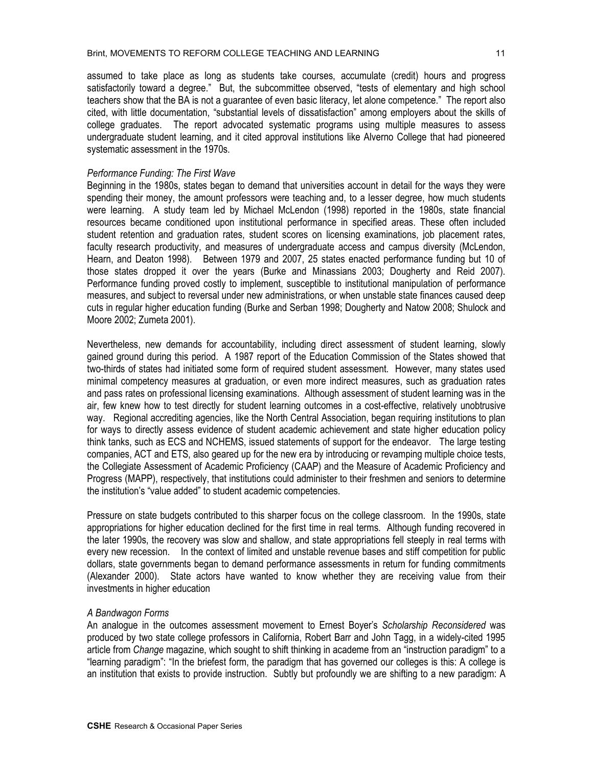assumed to take place as long as students take courses, accumulate (credit) hours and progress satisfactorily toward a degree." But, the subcommittee observed, "tests of elementary and high school teachers show that the BA is not a guarantee of even basic literacy, let alone competence." The report also cited, with little documentation, "substantial levels of dissatisfaction" among employers about the skills of college graduates. The report advocated systematic programs using multiple measures to assess undergraduate student learning, and it cited approval institutions like Alverno College that had pioneered systematic assessment in the 1970s.

### *Performance Funding: The First Wave*

Beginning in the 1980s, states began to demand that universities account in detail for the ways they were spending their money, the amount professors were teaching and, to a lesser degree, how much students were learning. A study team led by Michael McLendon (1998) reported in the 1980s, state financial resources became conditioned upon institutional performance in specified areas. These often included student retention and graduation rates, student scores on licensing examinations, job placement rates, faculty research productivity, and measures of undergraduate access and campus diversity (McLendon, Hearn, and Deaton 1998). Between 1979 and 2007, 25 states enacted performance funding but 10 of those states dropped it over the years (Burke and Minassians 2003; Dougherty and Reid 2007). Performance funding proved costly to implement, susceptible to institutional manipulation of performance measures, and subject to reversal under new administrations, or when unstable state finances caused deep cuts in regular higher education funding (Burke and Serban 1998; Dougherty and Natow 2008; Shulock and Moore 2002; Zumeta 2001).

Nevertheless, new demands for accountability, including direct assessment of student learning, slowly gained ground during this period. A 1987 report of the Education Commission of the States showed that two-thirds of states had initiated some form of required student assessment. However, many states used minimal competency measures at graduation, or even more indirect measures, such as graduation rates and pass rates on professional licensing examinations. Although assessment of student learning was in the air, few knew how to test directly for student learning outcomes in a cost-effective, relatively unobtrusive way. Regional accrediting agencies, like the North Central Association, began requiring institutions to plan for ways to directly assess evidence of student academic achievement and state higher education policy think tanks, such as ECS and NCHEMS, issued statements of support for the endeavor. The large testing companies, ACT and ETS, also geared up for the new era by introducing or revamping multiple choice tests, the Collegiate Assessment of Academic Proficiency (CAAP) and the Measure of Academic Proficiency and Progress (MAPP), respectively, that institutions could administer to their freshmen and seniors to determine the institution's "value added" to student academic competencies.

Pressure on state budgets contributed to this sharper focus on the college classroom. In the 1990s, state appropriations for higher education declined for the first time in real terms. Although funding recovered in the later 1990s, the recovery was slow and shallow, and state appropriations fell steeply in real terms with every new recession. In the context of limited and unstable revenue bases and stiff competition for public dollars, state governments began to demand performance assessments in return for funding commitments (Alexander 2000). State actors have wanted to know whether they are receiving value from their investments in higher education

#### *A Bandwagon Forms*

An analogue in the outcomes assessment movement to Ernest Boyer's *Scholarship Reconsidered* was produced by two state college professors in California, Robert Barr and John Tagg, in a widely-cited 1995 article from *Change* magazine, which sought to shift thinking in academe from an "instruction paradigm" to a "learning paradigm": "In the briefest form, the paradigm that has governed our colleges is this: A college is an institution that exists to provide instruction. Subtly but profoundly we are shifting to a new paradigm: A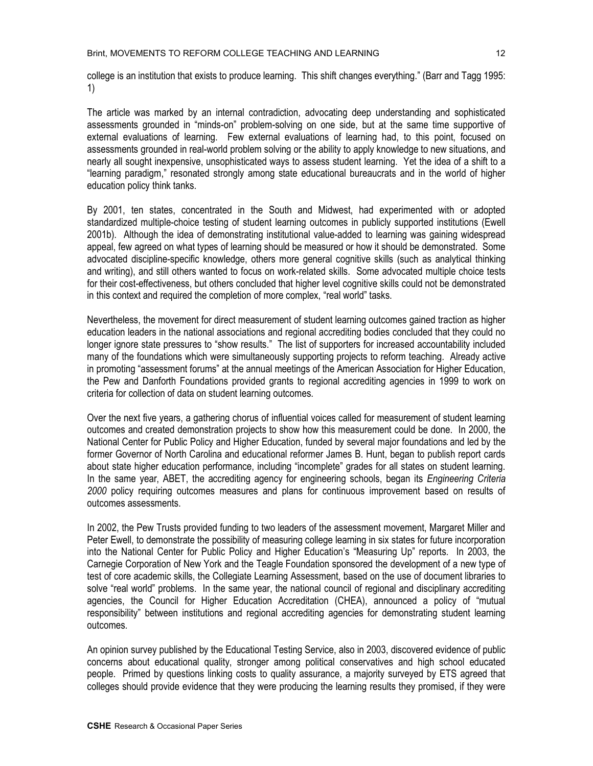college is an institution that exists to produce learning. This shift changes everything." (Barr and Tagg 1995: 1)

The article was marked by an internal contradiction, advocating deep understanding and sophisticated assessments grounded in "minds-on" problem-solving on one side, but at the same time supportive of external evaluations of learning. Few external evaluations of learning had, to this point, focused on assessments grounded in real-world problem solving or the ability to apply knowledge to new situations, and nearly all sought inexpensive, unsophisticated ways to assess student learning. Yet the idea of a shift to a "learning paradigm," resonated strongly among state educational bureaucrats and in the world of higher education policy think tanks.

By 2001, ten states, concentrated in the South and Midwest, had experimented with or adopted standardized multiple-choice testing of student learning outcomes in publicly supported institutions (Ewell 2001b). Although the idea of demonstrating institutional value-added to learning was gaining widespread appeal, few agreed on what types of learning should be measured or how it should be demonstrated. Some advocated discipline-specific knowledge, others more general cognitive skills (such as analytical thinking and writing), and still others wanted to focus on work-related skills. Some advocated multiple choice tests for their cost-effectiveness, but others concluded that higher level cognitive skills could not be demonstrated in this context and required the completion of more complex, "real world" tasks.

Nevertheless, the movement for direct measurement of student learning outcomes gained traction as higher education leaders in the national associations and regional accrediting bodies concluded that they could no longer ignore state pressures to "show results." The list of supporters for increased accountability included many of the foundations which were simultaneously supporting projects to reform teaching. Already active in promoting "assessment forums" at the annual meetings of the American Association for Higher Education, the Pew and Danforth Foundations provided grants to regional accrediting agencies in 1999 to work on criteria for collection of data on student learning outcomes.

Over the next five years, a gathering chorus of influential voices called for measurement of student learning outcomes and created demonstration projects to show how this measurement could be done. In 2000, the National Center for Public Policy and Higher Education, funded by several major foundations and led by the former Governor of North Carolina and educational reformer James B. Hunt, began to publish report cards about state higher education performance, including "incomplete" grades for all states on student learning. In the same year, ABET, the accrediting agency for engineering schools, began its *Engineering Criteria 2000* policy requiring outcomes measures and plans for continuous improvement based on results of outcomes assessments.

In 2002, the Pew Trusts provided funding to two leaders of the assessment movement, Margaret Miller and Peter Ewell, to demonstrate the possibility of measuring college learning in six states for future incorporation into the National Center for Public Policy and Higher Education's "Measuring Up" reports. In 2003, the Carnegie Corporation of New York and the Teagle Foundation sponsored the development of a new type of test of core academic skills, the Collegiate Learning Assessment, based on the use of document libraries to solve "real world" problems. In the same year, the national council of regional and disciplinary accrediting agencies, the Council for Higher Education Accreditation (CHEA), announced a policy of "mutual responsibility" between institutions and regional accrediting agencies for demonstrating student learning outcomes.

An opinion survey published by the Educational Testing Service, also in 2003, discovered evidence of public concerns about educational quality, stronger among political conservatives and high school educated people. Primed by questions linking costs to quality assurance, a majority surveyed by ETS agreed that colleges should provide evidence that they were producing the learning results they promised, if they were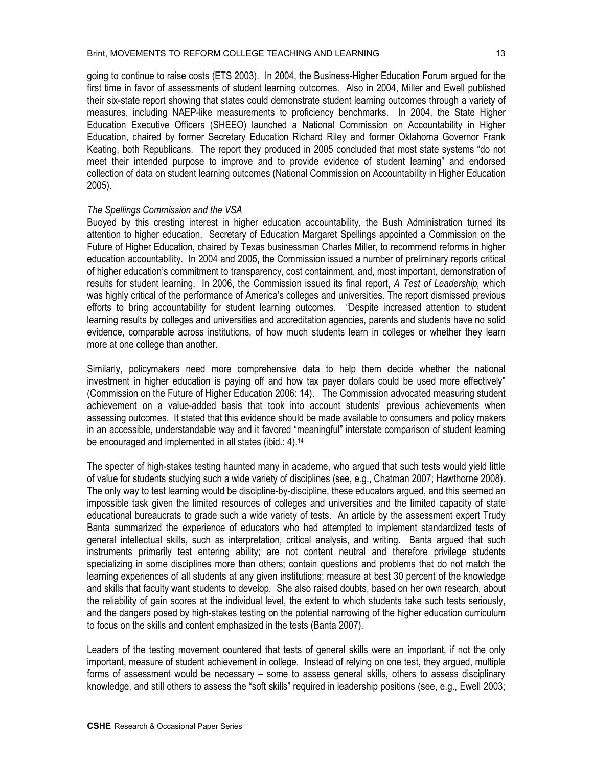going to continue to raise costs (ETS 2003). In 2004, the Business-Higher Education Forum argued for the first time in favor of assessments of student learning outcomes. Also in 2004, Miller and Ewell published their six-state report showing that states could demonstrate student learning outcomes through a variety of measures, including NAEP-like measurements to proficiency benchmarks. In 2004, the State Higher Education Executive Officers (SHEEO) launched a National Commission on Accountability in Higher Education, chaired by former Secretary Education Richard Riley and former Oklahoma Governor Frank Keating, both Republicans. The report they produced in 2005 concluded that most state systems "do not meet their intended purpose to improve and to provide evidence of student learning" and endorsed collection of data on student learning outcomes (National Commission on Accountability in Higher Education 2005).

### *The Spellings Commission and the VSA*

Buoyed by this cresting interest in higher education accountability, the Bush Administration turned its attention to higher education. Secretary of Education Margaret Spellings appointed a Commission on the Future of Higher Education, chaired by Texas businessman Charles Miller, to recommend reforms in higher education accountability. In 2004 and 2005, the Commission issued a number of preliminary reports critical of higher education's commitment to transparency, cost containment, and, most important, demonstration of results for student learning. In 2006, the Commission issued its final report, *A Test of Leadership,* which was highly critical of the performance of America's colleges and universities. The report dismissed previous efforts to bring accountability for student learning outcomes. "Despite increased attention to student learning results by colleges and universities and accreditation agencies, parents and students have no solid evidence, comparable across institutions, of how much students learn in colleges or whether they learn more at one college than another.

Similarly, policymakers need more comprehensive data to help them decide whether the national investment in higher education is paying off and how tax payer dollars could be used more effectively" (Commission on the Future of Higher Education 2006: 14). The Commission advocated measuring student achievement on a value-added basis that took into account students' previous achievements when assessing outcomes. It stated that this evidence should be made available to consumers and policy makers in an accessible, understandable way and it favored "meaningful" interstate comparison of student learning be encouraged and implemented in all states (ibid.: 4).<sup>14</sup>

The specter of high-stakes testing haunted many in academe, who argued that such tests would yield little of value for students studying such a wide variety of disciplines (see, e.g., Chatman 2007; Hawthorne 2008). The only way to test learning would be discipline-by-discipline, these educators argued, and this seemed an impossible task given the limited resources of colleges and universities and the limited capacity of state educational bureaucrats to grade such a wide variety of tests. An article by the assessment expert Trudy Banta summarized the experience of educators who had attempted to implement standardized tests of general intellectual skills, such as interpretation, critical analysis, and writing. Banta argued that such instruments primarily test entering ability; are not content neutral and therefore privilege students specializing in some disciplines more than others; contain questions and problems that do not match the learning experiences of all students at any given institutions; measure at best 30 percent of the knowledge and skills that faculty want students to develop. She also raised doubts, based on her own research, about the reliability of gain scores at the individual level, the extent to which students take such tests seriously, and the dangers posed by high-stakes testing on the potential narrowing of the higher education curriculum to focus on the skills and content emphasized in the tests (Banta 2007).

Leaders of the testing movement countered that tests of general skills were an important, if not the only important, measure of student achievement in college. Instead of relying on one test, they argued, multiple forms of assessment would be necessary – some to assess general skills, others to assess disciplinary knowledge, and still others to assess the "soft skills" required in leadership positions (see, e.g., Ewell 2003;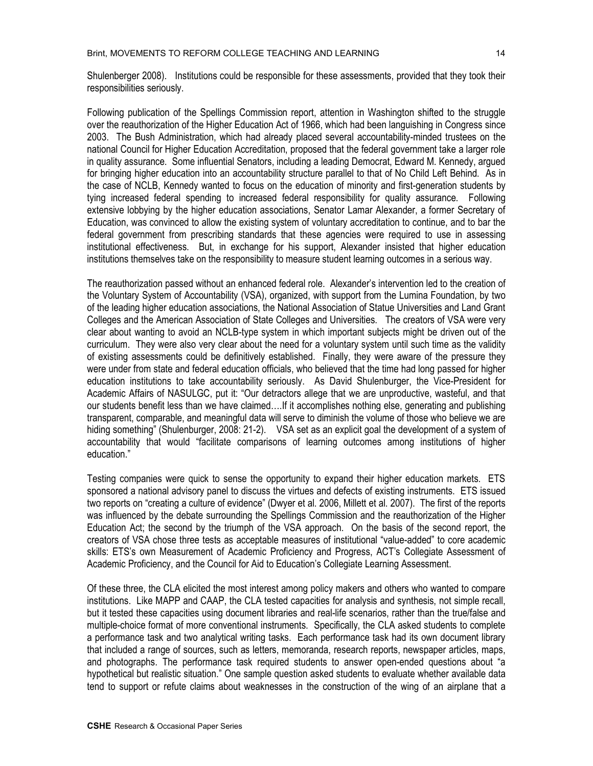Shulenberger 2008). Institutions could be responsible for these assessments, provided that they took their responsibilities seriously.

Following publication of the Spellings Commission report, attention in Washington shifted to the struggle over the reauthorization of the Higher Education Act of 1966, which had been languishing in Congress since 2003. The Bush Administration, which had already placed several accountability-minded trustees on the national Council for Higher Education Accreditation, proposed that the federal government take a larger role in quality assurance. Some influential Senators, including a leading Democrat, Edward M. Kennedy, argued for bringing higher education into an accountability structure parallel to that of No Child Left Behind. As in the case of NCLB, Kennedy wanted to focus on the education of minority and first-generation students by tying increased federal spending to increased federal responsibility for quality assurance. Following extensive lobbying by the higher education associations, Senator Lamar Alexander, a former Secretary of Education, was convinced to allow the existing system of voluntary accreditation to continue, and to bar the federal government from prescribing standards that these agencies were required to use in assessing institutional effectiveness. But, in exchange for his support, Alexander insisted that higher education institutions themselves take on the responsibility to measure student learning outcomes in a serious way.

The reauthorization passed without an enhanced federal role. Alexander's intervention led to the creation of the Voluntary System of Accountability (VSA), organized, with support from the Lumina Foundation, by two of the leading higher education associations, the National Association of Statue Universities and Land Grant Colleges and the American Association of State Colleges and Universities. The creators of VSA were very clear about wanting to avoid an NCLB-type system in which important subjects might be driven out of the curriculum. They were also very clear about the need for a voluntary system until such time as the validity of existing assessments could be definitively established. Finally, they were aware of the pressure they were under from state and federal education officials, who believed that the time had long passed for higher education institutions to take accountability seriously. As David Shulenburger, the Vice-President for Academic Affairs of NASULGC, put it: "Our detractors allege that we are unproductive, wasteful, and that our students benefit less than we have claimed….If it accomplishes nothing else, generating and publishing transparent, comparable, and meaningful data will serve to diminish the volume of those who believe we are hiding something" (Shulenburger, 2008: 21-2). VSA set as an explicit goal the development of a system of accountability that would "facilitate comparisons of learning outcomes among institutions of higher education."

Testing companies were quick to sense the opportunity to expand their higher education markets. ETS sponsored a national advisory panel to discuss the virtues and defects of existing instruments. ETS issued two reports on "creating a culture of evidence" (Dwyer et al. 2006, Millett et al. 2007). The first of the reports was influenced by the debate surrounding the Spellings Commission and the reauthorization of the Higher Education Act; the second by the triumph of the VSA approach. On the basis of the second report, the creators of VSA chose three tests as acceptable measures of institutional "value-added" to core academic skills: ETS's own Measurement of Academic Proficiency and Progress, ACT's Collegiate Assessment of Academic Proficiency, and the Council for Aid to Education's Collegiate Learning Assessment.

Of these three, the CLA elicited the most interest among policy makers and others who wanted to compare institutions. Like MAPP and CAAP, the CLA tested capacities for analysis and synthesis, not simple recall, but it tested these capacities using document libraries and real-life scenarios, rather than the true/false and multiple-choice format of more conventional instruments. Specifically, the CLA asked students to complete a performance task and two analytical writing tasks. Each performance task had its own document library that included a range of sources, such as letters, memoranda, research reports, newspaper articles, maps, and photographs. The performance task required students to answer open-ended questions about "a hypothetical but realistic situation." One sample question asked students to evaluate whether available data tend to support or refute claims about weaknesses in the construction of the wing of an airplane that a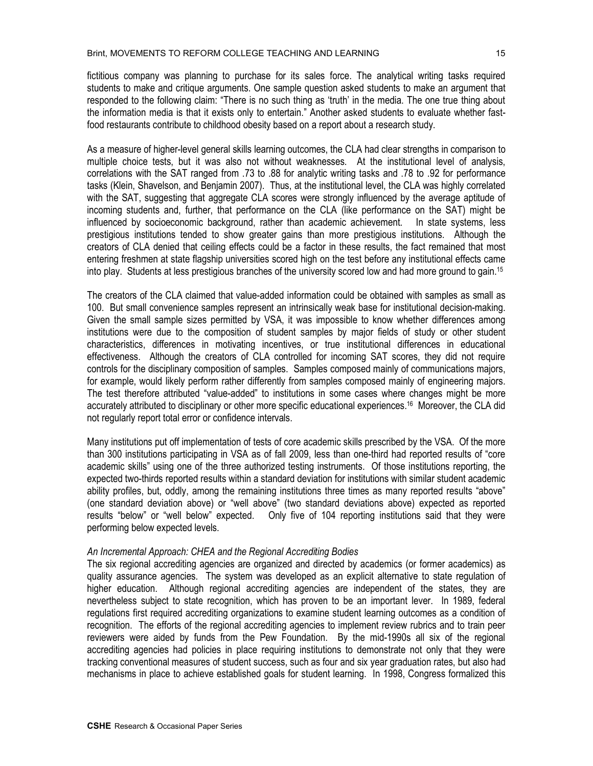fictitious company was planning to purchase for its sales force. The analytical writing tasks required students to make and critique arguments. One sample question asked students to make an argument that responded to the following claim: "There is no such thing as 'truth' in the media. The one true thing about the information media is that it exists only to entertain." Another asked students to evaluate whether fastfood restaurants contribute to childhood obesity based on a report about a research study.

As a measure of higher-level general skills learning outcomes, the CLA had clear strengths in comparison to multiple choice tests, but it was also not without weaknesses. At the institutional level of analysis, correlations with the SAT ranged from .73 to .88 for analytic writing tasks and .78 to .92 for performance tasks (Klein, Shavelson, and Benjamin 2007). Thus, at the institutional level, the CLA was highly correlated with the SAT, suggesting that aggregate CLA scores were strongly influenced by the average aptitude of incoming students and, further, that performance on the CLA (like performance on the SAT) might be influenced by socioeconomic background, rather than academic achievement. In state systems, less prestigious institutions tended to show greater gains than more prestigious institutions. Although the creators of CLA denied that ceiling effects could be a factor in these results, the fact remained that most entering freshmen at state flagship universities scored high on the test before any institutional effects came into play. Students at less prestigious branches of the university scored low and had more ground to gain.<sup>15</sup>

The creators of the CLA claimed that value-added information could be obtained with samples as small as 100. But small convenience samples represent an intrinsically weak base for institutional decision-making. Given the small sample sizes permitted by VSA, it was impossible to know whether differences among institutions were due to the composition of student samples by major fields of study or other student characteristics, differences in motivating incentives, or true institutional differences in educational effectiveness. Although the creators of CLA controlled for incoming SAT scores, they did not require controls for the disciplinary composition of samples. Samples composed mainly of communications majors, for example, would likely perform rather differently from samples composed mainly of engineering majors. The test therefore attributed "value-added" to institutions in some cases where changes might be more accurately attributed to disciplinary or other more specific educational experiences. <sup>16</sup> Moreover, the CLA did not regularly report total error or confidence intervals.

Many institutions put off implementation of tests of core academic skills prescribed by the VSA. Of the more than 300 institutions participating in VSA as of fall 2009, less than one-third had reported results of "core academic skills" using one of the three authorized testing instruments. Of those institutions reporting, the expected two-thirds reported results within a standard deviation for institutions with similar student academic ability profiles, but, oddly, among the remaining institutions three times as many reported results "above" (one standard deviation above) or "well above" (two standard deviations above) expected as reported results "below" or "well below" expected. Only five of 104 reporting institutions said that they were performing below expected levels.

#### *An Incremental Approach: CHEA and the Regional Accrediting Bodies*

The six regional accrediting agencies are organized and directed by academics (or former academics) as quality assurance agencies. The system was developed as an explicit alternative to state regulation of higher education. Although regional accrediting agencies are independent of the states, they are nevertheless subject to state recognition, which has proven to be an important lever. In 1989, federal regulations first required accrediting organizations to examine student learning outcomes as a condition of recognition. The efforts of the regional accrediting agencies to implement review rubrics and to train peer reviewers were aided by funds from the Pew Foundation. By the mid-1990s all six of the regional accrediting agencies had policies in place requiring institutions to demonstrate not only that they were tracking conventional measures of student success, such as four and six year graduation rates, but also had mechanisms in place to achieve established goals for student learning. In 1998, Congress formalized this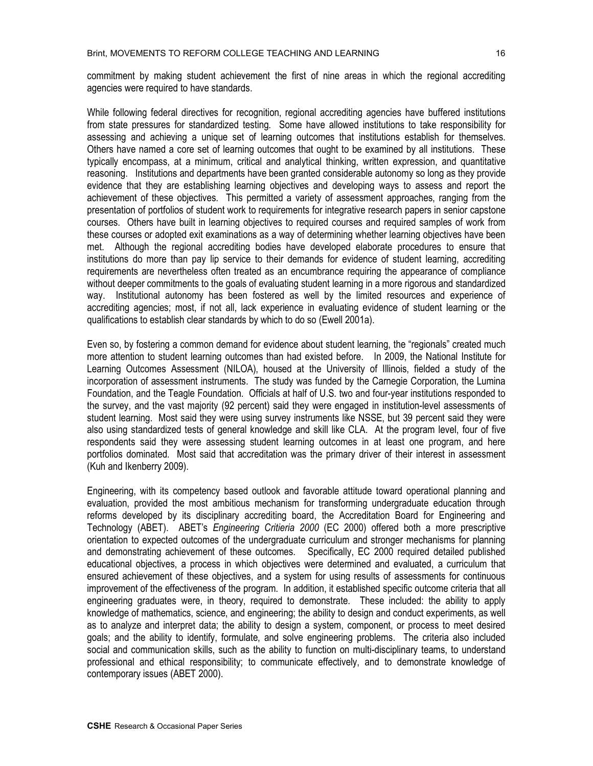commitment by making student achievement the first of nine areas in which the regional accrediting agencies were required to have standards.

While following federal directives for recognition, regional accrediting agencies have buffered institutions from state pressures for standardized testing. Some have allowed institutions to take responsibility for assessing and achieving a unique set of learning outcomes that institutions establish for themselves. Others have named a core set of learning outcomes that ought to be examined by all institutions. These typically encompass, at a minimum, critical and analytical thinking, written expression, and quantitative reasoning. Institutions and departments have been granted considerable autonomy so long as they provide evidence that they are establishing learning objectives and developing ways to assess and report the achievement of these objectives. This permitted a variety of assessment approaches, ranging from the presentation of portfolios of student work to requirements for integrative research papers in senior capstone courses. Others have built in learning objectives to required courses and required samples of work from these courses or adopted exit examinations as a way of determining whether learning objectives have been met. Although the regional accrediting bodies have developed elaborate procedures to ensure that institutions do more than pay lip service to their demands for evidence of student learning, accrediting requirements are nevertheless often treated as an encumbrance requiring the appearance of compliance without deeper commitments to the goals of evaluating student learning in a more rigorous and standardized way. Institutional autonomy has been fostered as well by the limited resources and experience of accrediting agencies; most, if not all, lack experience in evaluating evidence of student learning or the qualifications to establish clear standards by which to do so (Ewell 2001a).

Even so, by fostering a common demand for evidence about student learning, the "regionals" created much more attention to student learning outcomes than had existed before. In 2009, the National Institute for Learning Outcomes Assessment (NILOA), housed at the University of Illinois, fielded a study of the incorporation of assessment instruments. The study was funded by the Carnegie Corporation, the Lumina Foundation, and the Teagle Foundation. Officials at half of U.S. two and four-year institutions responded to the survey, and the vast majority (92 percent) said they were engaged in institution-level assessments of student learning. Most said they were using survey instruments like NSSE, but 39 percent said they were also using standardized tests of general knowledge and skill like CLA. At the program level, four of five respondents said they were assessing student learning outcomes in at least one program, and here portfolios dominated. Most said that accreditation was the primary driver of their interest in assessment (Kuh and Ikenberry 2009).

Engineering, with its competency based outlook and favorable attitude toward operational planning and evaluation, provided the most ambitious mechanism for transforming undergraduate education through reforms developed by its disciplinary accrediting board, the Accreditation Board for Engineering and Technology (ABET). ABET's *Engineering Critieria 2000* (EC 2000) offered both a more prescriptive orientation to expected outcomes of the undergraduate curriculum and stronger mechanisms for planning and demonstrating achievement of these outcomes. Specifically, EC 2000 required detailed published educational objectives, a process in which objectives were determined and evaluated, a curriculum that ensured achievement of these objectives, and a system for using results of assessments for continuous improvement of the effectiveness of the program. In addition, it established specific outcome criteria that all engineering graduates were, in theory, required to demonstrate. These included: the ability to apply knowledge of mathematics, science, and engineering; the ability to design and conduct experiments, as well as to analyze and interpret data; the ability to design a system, component, or process to meet desired goals; and the ability to identify, formulate, and solve engineering problems. The criteria also included social and communication skills, such as the ability to function on multi-disciplinary teams, to understand professional and ethical responsibility; to communicate effectively, and to demonstrate knowledge of contemporary issues (ABET 2000).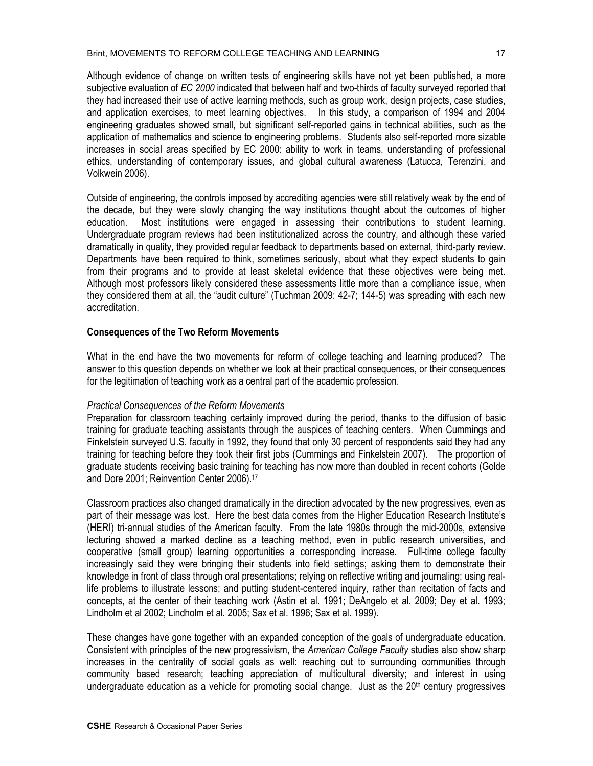Although evidence of change on written tests of engineering skills have not yet been published, a more subjective evaluation of *EC 2000* indicated that between half and two-thirds of faculty surveyed reported that they had increased their use of active learning methods, such as group work, design projects, case studies, and application exercises, to meet learning objectives. In this study, a comparison of 1994 and 2004 engineering graduates showed small, but significant self-reported gains in technical abilities, such as the application of mathematics and science to engineering problems. Students also self-reported more sizable increases in social areas specified by EC 2000: ability to work in teams, understanding of professional ethics, understanding of contemporary issues, and global cultural awareness (Latucca, Terenzini, and Volkwein 2006).

Outside of engineering, the controls imposed by accrediting agencies were still relatively weak by the end of the decade, but they were slowly changing the way institutions thought about the outcomes of higher education. Most institutions were engaged in assessing their contributions to student learning. Undergraduate program reviews had been institutionalized across the country, and although these varied dramatically in quality, they provided regular feedback to departments based on external, third-party review. Departments have been required to think, sometimes seriously, about what they expect students to gain from their programs and to provide at least skeletal evidence that these objectives were being met. Although most professors likely considered these assessments little more than a compliance issue, when they considered them at all, the "audit culture" (Tuchman 2009: 42-7; 144-5) was spreading with each new accreditation.

## **Consequences of the Two Reform Movements**

What in the end have the two movements for reform of college teaching and learning produced? The answer to this question depends on whether we look at their practical consequences, or their consequences for the legitimation of teaching work as a central part of the academic profession.

### *Practical Consequences of the Reform Movements*

Preparation for classroom teaching certainly improved during the period, thanks to the diffusion of basic training for graduate teaching assistants through the auspices of teaching centers. When Cummings and Finkelstein surveyed U.S. faculty in 1992, they found that only 30 percent of respondents said they had any training for teaching before they took their first jobs (Cummings and Finkelstein 2007). The proportion of graduate students receiving basic training for teaching has now more than doubled in recent cohorts (Golde and Dore 2001; Reinvention Center 2006).17

Classroom practices also changed dramatically in the direction advocated by the new progressives, even as part of their message was lost. Here the best data comes from the Higher Education Research Institute's (HERI) tri-annual studies of the American faculty. From the late 1980s through the mid-2000s, extensive lecturing showed a marked decline as a teaching method, even in public research universities, and cooperative (small group) learning opportunities a corresponding increase. Full-time college faculty increasingly said they were bringing their students into field settings; asking them to demonstrate their knowledge in front of class through oral presentations; relying on reflective writing and journaling; using reallife problems to illustrate lessons; and putting student-centered inquiry, rather than recitation of facts and concepts, at the center of their teaching work (Astin et al. 1991; DeAngelo et al. 2009; Dey et al. 1993; Lindholm et al 2002; Lindholm et al. 2005; Sax et al. 1996; Sax et al. 1999).

These changes have gone together with an expanded conception of the goals of undergraduate education. Consistent with principles of the new progressivism, the *American College Faculty* studies also show sharp increases in the centrality of social goals as well: reaching out to surrounding communities through community based research; teaching appreciation of multicultural diversity; and interest in using undergraduate education as a vehicle for promoting social change. Just as the  $20<sup>th</sup>$  century progressives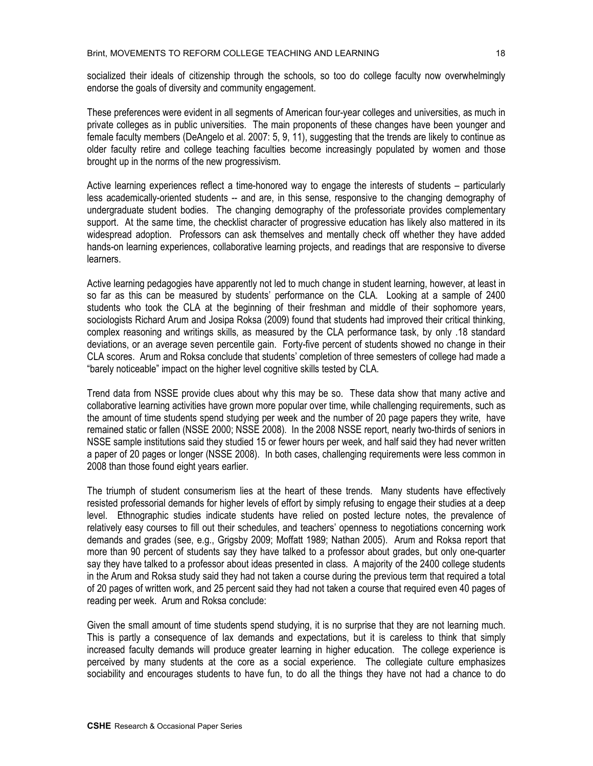socialized their ideals of citizenship through the schools, so too do college faculty now overwhelmingly endorse the goals of diversity and community engagement.

These preferences were evident in all segments of American four-year colleges and universities, as much in private colleges as in public universities. The main proponents of these changes have been younger and female faculty members (DeAngelo et al. 2007: 5, 9, 11), suggesting that the trends are likely to continue as older faculty retire and college teaching faculties become increasingly populated by women and those brought up in the norms of the new progressivism.

Active learning experiences reflect a time-honored way to engage the interests of students – particularly less academically-oriented students -- and are, in this sense, responsive to the changing demography of undergraduate student bodies. The changing demography of the professoriate provides complementary support. At the same time, the checklist character of progressive education has likely also mattered in its widespread adoption. Professors can ask themselves and mentally check off whether they have added hands-on learning experiences, collaborative learning projects, and readings that are responsive to diverse learners.

Active learning pedagogies have apparently not led to much change in student learning, however, at least in so far as this can be measured by students' performance on the CLA. Looking at a sample of 2400 students who took the CLA at the beginning of their freshman and middle of their sophomore years, sociologists Richard Arum and Josipa Roksa (2009) found that students had improved their critical thinking, complex reasoning and writings skills, as measured by the CLA performance task, by only .18 standard deviations, or an average seven percentile gain. Forty-five percent of students showed no change in their CLA scores. Arum and Roksa conclude that students' completion of three semesters of college had made a "barely noticeable" impact on the higher level cognitive skills tested by CLA.

Trend data from NSSE provide clues about why this may be so. These data show that many active and collaborative learning activities have grown more popular over time, while challenging requirements, such as the amount of time students spend studying per week and the number of 20 page papers they write, have remained static or fallen (NSSE 2000; NSSE 2008). In the 2008 NSSE report, nearly two-thirds of seniors in NSSE sample institutions said they studied 15 or fewer hours per week, and half said they had never written a paper of 20 pages or longer (NSSE 2008). In both cases, challenging requirements were less common in 2008 than those found eight years earlier.

The triumph of student consumerism lies at the heart of these trends. Many students have effectively resisted professorial demands for higher levels of effort by simply refusing to engage their studies at a deep level. Ethnographic studies indicate students have relied on posted lecture notes, the prevalence of relatively easy courses to fill out their schedules, and teachers' openness to negotiations concerning work demands and grades (see, e.g., Grigsby 2009; Moffatt 1989; Nathan 2005). Arum and Roksa report that more than 90 percent of students say they have talked to a professor about grades, but only one-quarter say they have talked to a professor about ideas presented in class. A majority of the 2400 college students in the Arum and Roksa study said they had not taken a course during the previous term that required a total of 20 pages of written work, and 25 percent said they had not taken a course that required even 40 pages of reading per week. Arum and Roksa conclude:

Given the small amount of time students spend studying, it is no surprise that they are not learning much. This is partly a consequence of lax demands and expectations, but it is careless to think that simply increased faculty demands will produce greater learning in higher education. The college experience is perceived by many students at the core as a social experience. The collegiate culture emphasizes sociability and encourages students to have fun, to do all the things they have not had a chance to do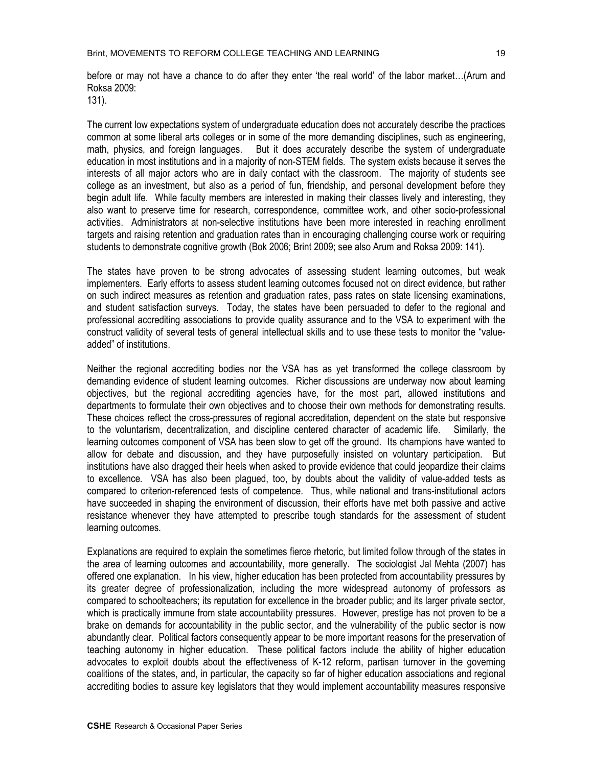19

before or may not have a chance to do after they enter 'the real world' of the labor market…(Arum and Roksa 2009:

131).

The current low expectations system of undergraduate education does not accurately describe the practices common at some liberal arts colleges or in some of the more demanding disciplines, such as engineering, math, physics, and foreign languages. But it does accurately describe the system of undergraduate education in most institutions and in a majority of non-STEM fields. The system exists because it serves the interests of all major actors who are in daily contact with the classroom. The majority of students see college as an investment, but also as a period of fun, friendship, and personal development before they begin adult life. While faculty members are interested in making their classes lively and interesting, they also want to preserve time for research, correspondence, committee work, and other socio-professional activities. Administrators at non-selective institutions have been more interested in reaching enrollment targets and raising retention and graduation rates than in encouraging challenging course work or requiring students to demonstrate cognitive growth (Bok 2006; Brint 2009; see also Arum and Roksa 2009: 141).

The states have proven to be strong advocates of assessing student learning outcomes, but weak implementers. Early efforts to assess student learning outcomes focused not on direct evidence, but rather on such indirect measures as retention and graduation rates, pass rates on state licensing examinations, and student satisfaction surveys. Today, the states have been persuaded to defer to the regional and professional accrediting associations to provide quality assurance and to the VSA to experiment with the construct validity of several tests of general intellectual skills and to use these tests to monitor the "valueadded" of institutions.

Neither the regional accrediting bodies nor the VSA has as yet transformed the college classroom by demanding evidence of student learning outcomes. Richer discussions are underway now about learning objectives, but the regional accrediting agencies have, for the most part, allowed institutions and departments to formulate their own objectives and to choose their own methods for demonstrating results. These choices reflect the cross-pressures of regional accreditation, dependent on the state but responsive to the voluntarism, decentralization, and discipline centered character of academic life. Similarly, the learning outcomes component of VSA has been slow to get off the ground. Its champions have wanted to allow for debate and discussion, and they have purposefully insisted on voluntary participation. But institutions have also dragged their heels when asked to provide evidence that could jeopardize their claims to excellence. VSA has also been plagued, too, by doubts about the validity of value-added tests as compared to criterion-referenced tests of competence. Thus, while national and trans-institutional actors have succeeded in shaping the environment of discussion, their efforts have met both passive and active resistance whenever they have attempted to prescribe tough standards for the assessment of student learning outcomes.

Explanations are required to explain the sometimes fierce rhetoric, but limited follow through of the states in the area of learning outcomes and accountability, more generally. The sociologist Jal Mehta (2007) has offered one explanation. In his view, higher education has been protected from accountability pressures by its greater degree of professionalization, including the more widespread autonomy of professors as compared to schoolteachers; its reputation for excellence in the broader public; and its larger private sector, which is practically immune from state accountability pressures. However, prestige has not proven to be a brake on demands for accountability in the public sector, and the vulnerability of the public sector is now abundantly clear. Political factors consequently appear to be more important reasons for the preservation of teaching autonomy in higher education. These political factors include the ability of higher education advocates to exploit doubts about the effectiveness of K-12 reform, partisan turnover in the governing coalitions of the states, and, in particular, the capacity so far of higher education associations and regional accrediting bodies to assure key legislators that they would implement accountability measures responsive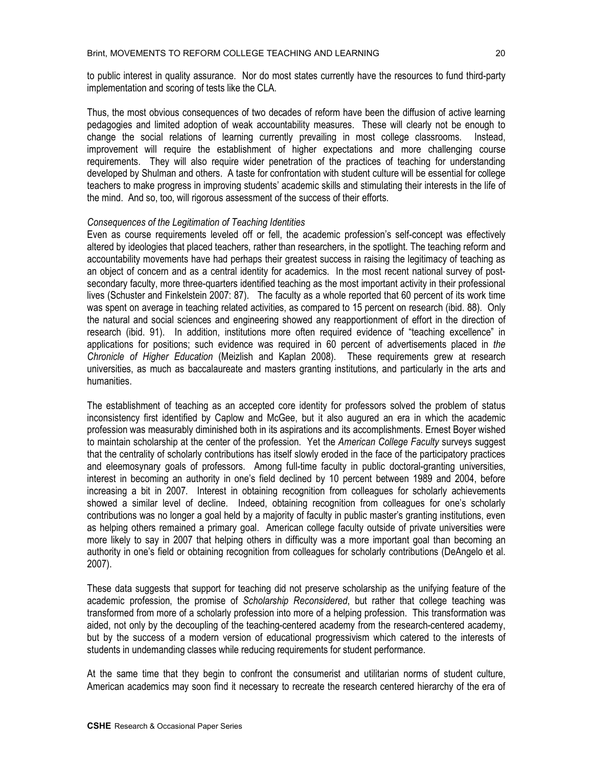to public interest in quality assurance. Nor do most states currently have the resources to fund third-party implementation and scoring of tests like the CLA.

Thus, the most obvious consequences of two decades of reform have been the diffusion of active learning pedagogies and limited adoption of weak accountability measures. These will clearly not be enough to change the social relations of learning currently prevailing in most college classrooms. Instead, improvement will require the establishment of higher expectations and more challenging course requirements. They will also require wider penetration of the practices of teaching for understanding developed by Shulman and others. A taste for confrontation with student culture will be essential for college teachers to make progress in improving students' academic skills and stimulating their interests in the life of the mind. And so, too, will rigorous assessment of the success of their efforts.

#### *Consequences of the Legitimation of Teaching Identities*

Even as course requirements leveled off or fell, the academic profession's self-concept was effectively altered by ideologies that placed teachers, rather than researchers, in the spotlight. The teaching reform and accountability movements have had perhaps their greatest success in raising the legitimacy of teaching as an object of concern and as a central identity for academics. In the most recent national survey of postsecondary faculty, more three-quarters identified teaching as the most important activity in their professional lives (Schuster and Finkelstein 2007: 87). The faculty as a whole reported that 60 percent of its work time was spent on average in teaching related activities, as compared to 15 percent on research (ibid. 88). Only the natural and social sciences and engineering showed any reapportionment of effort in the direction of research (ibid. 91). In addition, institutions more often required evidence of "teaching excellence" in applications for positions; such evidence was required in 60 percent of advertisements placed in *the Chronicle of Higher Education* (Meizlish and Kaplan 2008). These requirements grew at research universities, as much as baccalaureate and masters granting institutions, and particularly in the arts and humanities.

The establishment of teaching as an accepted core identity for professors solved the problem of status inconsistency first identified by Caplow and McGee, but it also augured an era in which the academic profession was measurably diminished both in its aspirations and its accomplishments. Ernest Boyer wished to maintain scholarship at the center of the profession. Yet the *American College Faculty* surveys suggest that the centrality of scholarly contributions has itself slowly eroded in the face of the participatory practices and eleemosynary goals of professors. Among full-time faculty in public doctoral-granting universities, interest in becoming an authority in one's field declined by 10 percent between 1989 and 2004, before increasing a bit in 2007. Interest in obtaining recognition from colleagues for scholarly achievements showed a similar level of decline. Indeed, obtaining recognition from colleagues for one's scholarly contributions was no longer a goal held by a majority of faculty in public master's granting institutions, even as helping others remained a primary goal. American college faculty outside of private universities were more likely to say in 2007 that helping others in difficulty was a more important goal than becoming an authority in one's field or obtaining recognition from colleagues for scholarly contributions (DeAngelo et al. 2007).

These data suggests that support for teaching did not preserve scholarship as the unifying feature of the academic profession, the promise of *Scholarship Reconsidered*, but rather that college teaching was transformed from more of a scholarly profession into more of a helping profession. This transformation was aided, not only by the decoupling of the teaching-centered academy from the research-centered academy, but by the success of a modern version of educational progressivism which catered to the interests of students in undemanding classes while reducing requirements for student performance.

At the same time that they begin to confront the consumerist and utilitarian norms of student culture, American academics may soon find it necessary to recreate the research centered hierarchy of the era of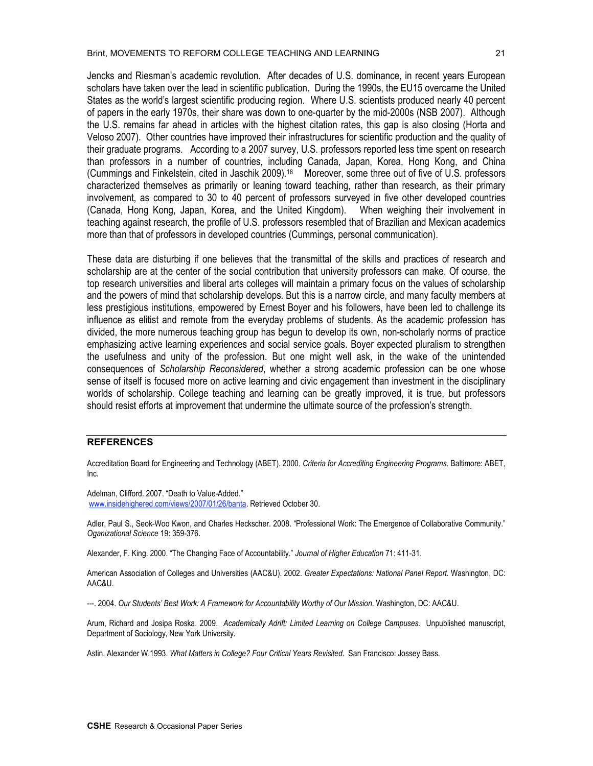Jencks and Riesman's academic revolution. After decades of U.S. dominance, in recent years European scholars have taken over the lead in scientific publication. During the 1990s, the EU15 overcame the United States as the world's largest scientific producing region. Where U.S. scientists produced nearly 40 percent of papers in the early 1970s, their share was down to one-quarter by the mid-2000s (NSB 2007). Although the U.S. remains far ahead in articles with the highest citation rates, this gap is also closing (Horta and Veloso 2007). Other countries have improved their infrastructures for scientific production and the quality of their graduate programs. According to a 2007 survey, U.S. professors reported less time spent on research than professors in a number of countries, including Canada, Japan, Korea, Hong Kong, and China (Cummings and Finkelstein, cited in Jaschik 2009).18 Moreover, some three out of five of U.S. professors characterized themselves as primarily or leaning toward teaching, rather than research, as their primary involvement, as compared to 30 to 40 percent of professors surveyed in five other developed countries (Canada, Hong Kong, Japan, Korea, and the United Kingdom). When weighing their involvement in teaching against research, the profile of U.S. professors resembled that of Brazilian and Mexican academics more than that of professors in developed countries (Cummings, personal communication).

These data are disturbing if one believes that the transmittal of the skills and practices of research and scholarship are at the center of the social contribution that university professors can make. Of course, the top research universities and liberal arts colleges will maintain a primary focus on the values of scholarship and the powers of mind that scholarship develops. But this is a narrow circle, and many faculty members at less prestigious institutions, empowered by Ernest Boyer and his followers, have been led to challenge its influence as elitist and remote from the everyday problems of students. As the academic profession has divided, the more numerous teaching group has begun to develop its own, non-scholarly norms of practice emphasizing active learning experiences and social service goals. Boyer expected pluralism to strengthen the usefulness and unity of the profession. But one might well ask, in the wake of the unintended consequences of *Scholarship Reconsidered*, whether a strong academic profession can be one whose sense of itself is focused more on active learning and civic engagement than investment in the disciplinary worlds of scholarship. College teaching and learning can be greatly improved, it is true, but professors should resist efforts at improvement that undermine the ultimate source of the profession's strength.

#### **REFERENCES**

Accreditation Board for Engineering and Technology (ABET). 2000. *Criteria for Accrediting Engineering Programs*. Baltimore: ABET, Inc.

Adelman, Clifford. 2007. "Death to Value-Added." www.insidehighered.com/views/2007/01/26/banta. Retrieved October 30.

Adler, Paul S., Seok-Woo Kwon, and Charles Heckscher. 2008. "Professional Work: The Emergence of Collaborative Community." *Oganizational Science* 19: 359-376.

Alexander, F. King. 2000. "The Changing Face of Accountability." *Journal of Higher Education* 71: 411-31.

American Association of Colleges and Universities (AAC&U). 2002. *Greater Expectations: National Panel Report.* Washington, DC: AAC&U.

---. 2004. *Our Students' Best Work: A Framework for Accountability Worthy of Our Mission.* Washington, DC: AAC&U.

Arum, Richard and Josipa Roska. 2009. *Academically Adrift: Limited Learning on College Campuses.* Unpublished manuscript, Department of Sociology, New York University.

Astin, Alexander W.1993. *What Matters in College? Four Critical Years Revisited.* San Francisco: Jossey Bass.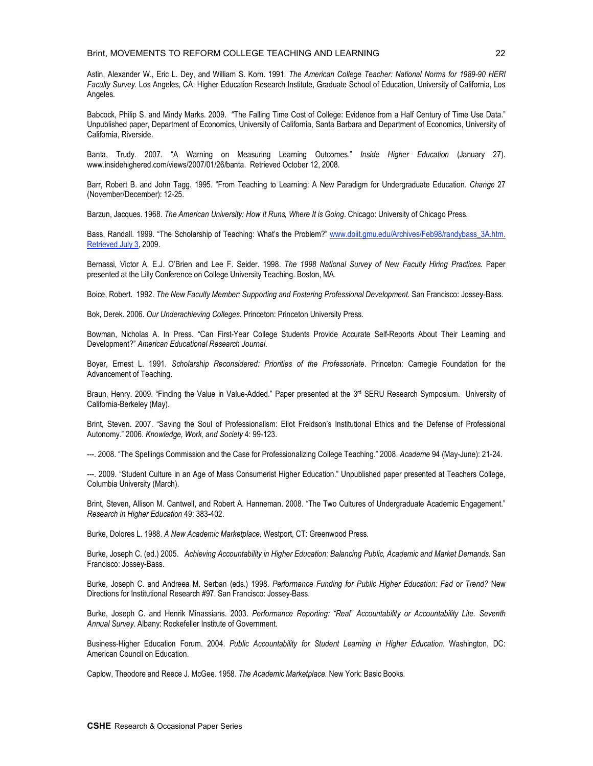Astin, Alexander W., Eric L. Dey, and William S. Korn. 1991. *The American College Teacher: National Norms for 1989-90 HERI Faculty Survey.* Los Angeles, CA: Higher Education Research Institute, Graduate School of Education, University of California, Los Angeles.

Babcock, Philip S. and Mindy Marks. 2009. "The Falling Time Cost of College: Evidence from a Half Century of Time Use Data." Unpublished paper, Department of Economics, University of California, Santa Barbara and Department of Economics, University of California, Riverside.

Banta, Trudy. 2007. "A Warning on Measuring Learning Outcomes." *Inside Higher Education* (January 27). www.insidehighered.com/views/2007/01/26/banta. Retrieved October 12, 2008.

Barr, Robert B. and John Tagg. 1995. "From Teaching to Learning: A New Paradigm for Undergraduate Education. *Change* 27 (November/December): 12-25.

Barzun, Jacques. 1968. *The American University: How It Runs, Where It is Going*. Chicago: University of Chicago Press.

Bass, Randall. 1999. "The Scholarship of Teaching: What's the Problem?" www.doiit.gmu.edu/Archives/Feb98/randybass\_3A.htm. Retrieved July 3, 2009.

Bernassi, Victor A. E.J. O'Brien and Lee F. Seider. 1998. *The 1998 National Survey of New Faculty Hiring Practices.* Paper presented at the Lilly Conference on College University Teaching. Boston, MA.

Boice, Robert. 1992. *The New Faculty Member: Supporting and Fostering Professional Development.* San Francisco: Jossey-Bass.

Bok, Derek. 2006. *Our Underachieving Colleges*. Princeton: Princeton University Press.

Bowman, Nicholas A. In Press. "Can First-Year College Students Provide Accurate Self-Reports About Their Learning and Development?" *American Educational Research Journal*.

Boyer, Ernest L. 1991. *Scholarship Reconsidered: Priorities of the Professoriate*. Princeton: Carnegie Foundation for the Advancement of Teaching.

Braun, Henry. 2009. "Finding the Value in Value-Added." Paper presented at the 3<sup>rd</sup> SERU Research Symposium. University of California-Berkeley (May).

Brint, Steven. 2007. "Saving the Soul of Professionalism: Eliot Freidson's Institutional Ethics and the Defense of Professional Autonomy." 2006. *Knowledge, Work, and Society* 4: 99-123.

---. 2008. "The Spellings Commission and the Case for Professionalizing College Teaching." 2008. *Academe* 94 (May-June): 21-24.

---. 2009. "Student Culture in an Age of Mass Consumerist Higher Education." Unpublished paper presented at Teachers College, Columbia University (March).

Brint, Steven, Allison M. Cantwell, and Robert A. Hanneman. 2008. "The Two Cultures of Undergraduate Academic Engagement." *Research in Higher Education* 49: 383-402.

Burke, Dolores L. 1988. *A New Academic Marketplace.* Westport, CT: Greenwood Press.

Burke, Joseph C. (ed.) 2005. *Achieving Accountability in Higher Education: Balancing Public, Academic and Market Demands.* San Francisco: Jossey-Bass.

Burke, Joseph C. and Andreea M. Serban (eds.) 1998. *Performance Funding for Public Higher Education: Fad or Trend?* New Directions for Institutional Research #97. San Francisco: Jossey-Bass.

Burke, Joseph C. and Henrik Minassians. 2003. *Performance Reporting: "Real" Accountability or Accountability Lite. Seventh Annual Survey.* Albany: Rockefeller Institute of Government.

Business-Higher Education Forum. 2004. *Public Accountability for Student Learning in Higher Education.* Washington, DC: American Council on Education.

Caplow, Theodore and Reece J. McGee. 1958. *The Academic Marketplace.* New York: Basic Books.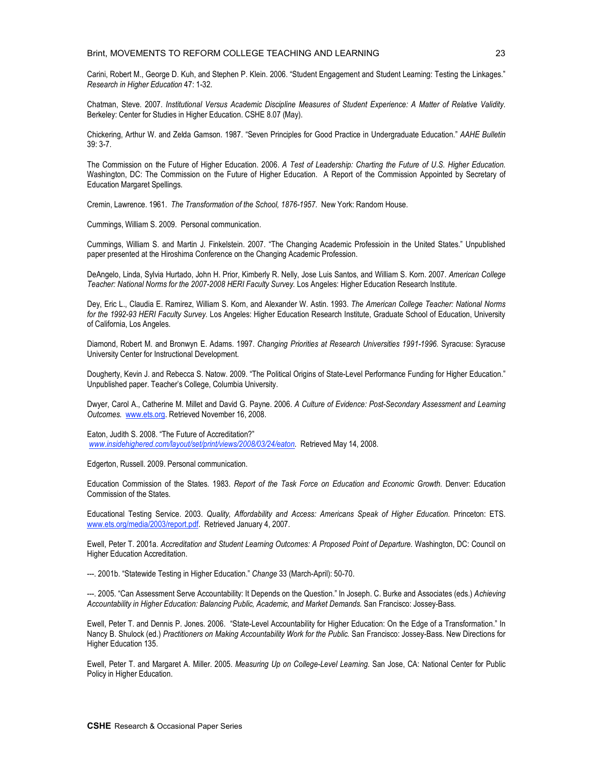Carini, Robert M., George D. Kuh, and Stephen P. Klein. 2006. "Student Engagement and Student Learning: Testing the Linkages." *Research in Higher Education* 47: 1-32.

Chatman, Steve. 2007. *Institutional Versus Academic Discipline Measures of Student Experience: A Matter of Relative Validity*. Berkeley: Center for Studies in Higher Education. CSHE 8.07 (May).

Chickering, Arthur W. and Zelda Gamson. 1987. "Seven Principles for Good Practice in Undergraduate Education." *AAHE Bulletin* 39: 3-7.

The Commission on the Future of Higher Education. 2006. *A Test of Leadership: Charting the Future of U.S. Higher Education.* Washington, DC: The Commission on the Future of Higher Education. A Report of the Commission Appointed by Secretary of Education Margaret Spellings.

Cremin, Lawrence. 1961. *The Transformation of the School, 1876-1957.* New York: Random House.

Cummings, William S. 2009. Personal communication.

Cummings, William S. and Martin J. Finkelstein. 2007. "The Changing Academic Professioin in the United States." Unpublished paper presented at the Hiroshima Conference on the Changing Academic Profession.

DeAngelo, Linda, Sylvia Hurtado, John H. Prior, Kimberly R. Nelly, Jose Luis Santos, and William S. Korn. 2007. *American College Teacher: National Norms for the 2007-2008 HERI Faculty Survey.* Los Angeles: Higher Education Research Institute.

Dey, Eric L., Claudia E. Ramirez, William S. Korn, and Alexander W. Astin. 1993. *The American College Teacher: National Norms for the 1992-93 HERI Faculty Survey.* Los Angeles: Higher Education Research Institute, Graduate School of Education, University of California, Los Angeles.

Diamond, Robert M. and Bronwyn E. Adams. 1997. *Changing Priorities at Research Universities 1991-1996.* Syracuse: Syracuse University Center for Instructional Development.

Dougherty, Kevin J. and Rebecca S. Natow. 2009. "The Political Origins of State-Level Performance Funding for Higher Education." Unpublished paper. Teacher's College, Columbia University.

Dwyer, Carol A., Catherine M. Millet and David G. Payne. 2006. *A Culture of Evidence: Post-Secondary Assessment and Learning Outcomes.* www.ets.org. Retrieved November 16, 2008.

Eaton, Judith S. 2008. "The Future of Accreditation?" *www.insidehighered.com/layout/set/print/views/2008/03/24/eaton.* Retrieved May 14, 2008.

Edgerton, Russell. 2009. Personal communication.

Education Commission of the States. 1983. *Report of the Task Force on Education and Economic Growth.* Denver: Education Commission of the States.

Educational Testing Service. 2003. *Quality, Affordability and Access: Americans Speak of Higher Education.* Princeton: ETS. www.ets.org/media/2003/report.pdf. Retrieved January 4, 2007.

Ewell, Peter T. 2001a. *Accreditation and Student Learning Outcomes: A Proposed Point of Departure.* Washington, DC: Council on Higher Education Accreditation.

---. 2001b. "Statewide Testing in Higher Education." *Change* 33 (March-April): 50-70.

---. 2005. "Can Assessment Serve Accountability: It Depends on the Question." In Joseph. C. Burke and Associates (eds.) *Achieving Accountability in Higher Education: Balancing Public, Academic, and Market Demands.* San Francisco: Jossey-Bass.

Ewell, Peter T. and Dennis P. Jones. 2006. "State-Level Accountability for Higher Education: On the Edge of a Transformation." In Nancy B. Shulock (ed.) *Practitioners on Making Accountability Work for the Public.* San Francisco: Jossey-Bass. New Directions for Higher Education 135.

Ewell, Peter T. and Margaret A. Miller. 2005. *Measuring Up on College-Level Learning.* San Jose, CA: National Center for Public Policy in Higher Education.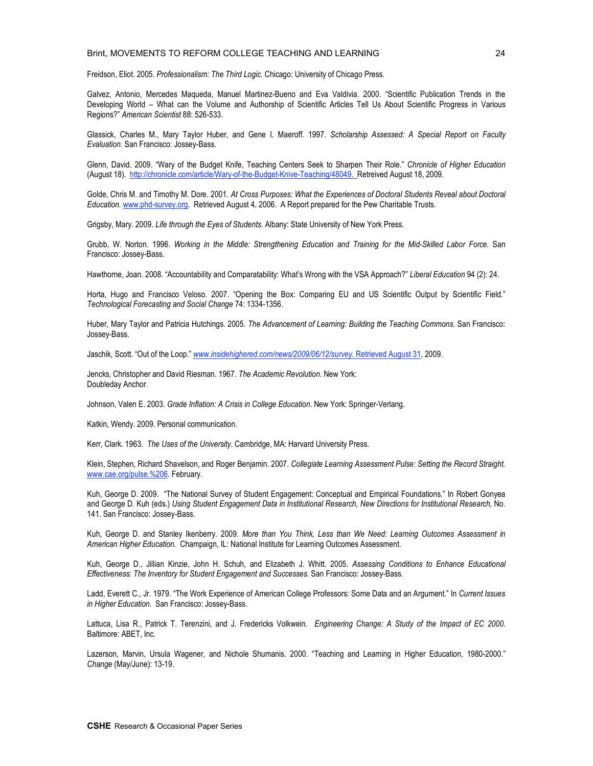#### Brint, MOVEMENTS TO REFORM COLLEGE TEACHING AND LEARNING

Freidson, Eliot. 2005. *Professionalism: The Third Logic.* Chicago: University of Chicago Press.

Galvez, Antonio, Mercedes Maqueda, Manuel Martinez-Bueno and Eva Valdivia. 2000. "Scientific Publication Trends in the Developing World – What can the Volume and Authorship of Scientific Articles Tell Us About Scientific Progress in Various Regions?" *American Scientist* 88: 526-533.

Glassick, Charles M., Mary Taylor Huber, and Gene I. Maeroff. 1997. *Scholarship Assessed: A Special Report on Faculty Evaluation.* San Francisco: Jossey-Bass.

Glenn, David. 2009. "Wary of the Budget Knife, Teaching Centers Seek to Sharpen Their Role." *Chronicle of Higher Education* (August 18). http://chronicle.com/article/Wary-of-the-Budget-Knive-Teaching/48049. Retreived August 18, 2009.

Golde, Chris M. and Timothy M. Dore. 2001. *At Cross Purposes: What the Experiences of Doctoral Students Reveal about Doctoral Education.* www.phd-survey.org. Retrieved August 4, 2006. A Report prepared for the Pew Charitable Trusts.

Grigsby, Mary. 2009. *Life through the Eyes of Students*. Albany: State University of New York Press.

Grubb, W. Norton. 1996. *Working in the Middle: Strengthening Education and Training for the Mid-Skilled Labor Force.* San Francisco: Jossey-Bass.

Hawthorne, Joan. 2008. "Accountability and Comparatability: What's Wrong with the VSA Approach?" *Liberal Education* 94 (2): 24.

Horta, Hugo and Francisco Veloso. 2007. "Opening the Box: Comparing EU and US Scientific Output by Scientific Field." *Technological Forecasting and Social Change* 74: 1334-1356.

Huber, Mary Taylor and Patricia Hutchings. 2005. *The Advancement of Learning: Building the Teaching Commons.* San Francisco: Jossey-Bass.

Jaschik, Scott. "Out of the Loop." *www.insidehighered.com/news/2009/06/12/survey.* Retrieved August 31, 2009.

Jencks, Christopher and David Riesman. 1967. *The Academic Revolution.* New York: Doubleday Anchor.

Johnson, Valen E. 2003. *Grade Inflation: A Crisis in College Education*. New York: Springer-Verlang.

Katkin, Wendy. 2009. Personal communication.

Kerr, Clark. 1963. *The Uses of the University*. Cambridge, MA: Harvard University Press.

Klein, Stephen, Richard Shavelson, and Roger Benjamin. 2007. *Collegiate Learning Assessment Pulse: Setting the Record Straight.* www.cae.org/pulse.%206. February.

Kuh, George D. 2009. "The National Survey of Student Engagement: Conceptual and Empirical Foundations." In Robert Gonyea and George D. Kuh (eds.) *Using Student Engagement Data in Institutional Research, New Directions for Institutional Research,* No. 141. San Francisco: Jossey-Bass.

Kuh, George D. and Stanley Ikenberry. 2009. *More than You Think, Less than We Need: Learning Outcomes Assessment in American Higher Education.* Champaign, IL: National Institute for Learning Outcomes Assessment.

Kuh, George D., Jillian Kinzie, John H. Schuh, and Elizabeth J. Whitt. 2005. *Assessing Conditions to Enhance Educational Effectiveness: The Inventory for Student Engagement and Successes.* San Francisco: Jossey-Bass.

Ladd, Everett C., Jr. 1979. "The Work Experience of American College Professors: Some Data and an Argument." In *Current Issues in Higher Education.* San Francisco: Jossey-Bass.

Lattuca, Lisa R., Patrick T. Terenzini, and J. Fredericks Volkwein. *Engineering Change: A Study of the Impact of EC 2000.* Baltimore: ABET, Inc.

Lazerson, Marvin, Ursula Wagener, and Nichole Shumanis. 2000. "Teaching and Learning in Higher Education, 1980-2000." *Change* (May/June): 13-19.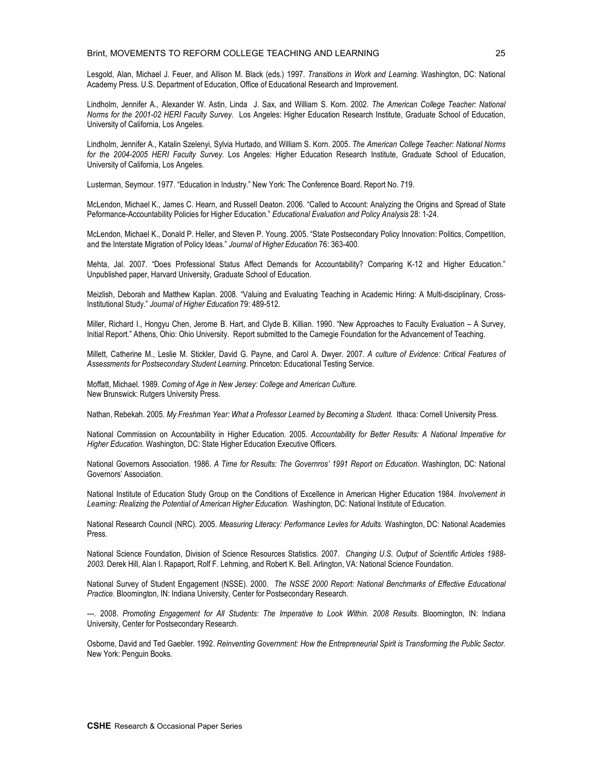Lesgold, Alan, Michael J. Feuer, and Allison M. Black (eds.) 1997. *Transitions in Work and Learning.* Washington, DC: National Academy Press. U.S. Department of Education, Office of Educational Research and Improvement.

Lindholm, Jennifer A., Alexander W. Astin, Linda J. Sax, and William S. Korn. 2002. *The American College Teacher: National Norms for the 2001-02 HERI Faculty Survey*. Los Angeles: Higher Education Research Institute, Graduate School of Education, University of California, Los Angeles.

Lindholm, Jennifer A., Katalin Szelenyi, Sylvia Hurtado, and William S. Korn. 2005. *The American College Teacher: National Norms for the 2004-2005 HERI Faculty Survey*. Los Angeles: Higher Education Research Institute, Graduate School of Education, University of California, Los Angeles.

Lusterman, Seymour. 1977. "Education in Industry." New York: The Conference Board. Report No. 719.

McLendon, Michael K., James C. Hearn, and Russell Deaton. 2006. "Called to Account: Analyzing the Origins and Spread of State Peformance-Accountability Policies for Higher Education." *Educational Evaluation and Policy Analysis* 28: 1-24.

McLendon, Michael K., Donald P. Heller, and Steven P. Young. 2005. "State Postsecondary Policy Innovation: Politics, Competition, and the Interstate Migration of Policy Ideas." *Journal of Higher Education* 76: 363-400.

Mehta, Jal. 2007. "Does Professional Status Affect Demands for Accountability? Comparing K-12 and Higher Education." Unpublished paper, Harvard University, Graduate School of Education.

Meizlish, Deborah and Matthew Kaplan. 2008. "Valuing and Evaluating Teaching in Academic Hiring: A Multi-disciplinary, Cross-Institutional Study." *Journal of Higher Education* 79: 489-512.

Miller, Richard I., Hongyu Chen, Jerome B. Hart, and Clyde B. Killian. 1990. "New Approaches to Faculty Evaluation – A Survey, Initial Report." Athens, Ohio: Ohio University. Report submitted to the Carnegie Foundation for the Advancement of Teaching.

Millett, Catherine M., Leslie M. Stickler, David G. Payne, and Carol A. Dwyer. 2007. *A culture of Evidence: Critical Features of Assessments for Postsecondary Student Learning.* Princeton: Educational Testing Service.

Moffatt, Michael. 1989. *Coming of Age in New Jersey: College and American Culture.* New Brunswick: Rutgers University Press.

Nathan, Rebekah. 2005. *My Freshman Year: What a Professor Learned by Becoming a Student.* Ithaca: Cornell University Press.

National Commission on Accountability in Higher Education. 2005. *Accountability for Better Results: A National Imperative for Higher Education.* Washington, DC: State Higher Education Executive Officers.

National Governors Association. 1986. *A Time for Results: The Governros' 1991 Report on Education.* Washington, DC: National Governors' Association.

National Institute of Education Study Group on the Conditions of Excellence in American Higher Education 1984. *Involvement in Learning: Realizing the Potential of American Higher Education.* Washington, DC: National Institute of Education.

National Research Council (NRC). 2005. *Measuring Literacy: Performance Levles for Adults.* Washington, DC: National Academies Press.

National Science Foundation, Division of Science Resources Statistics. 2007. *Changing U.S. Output of Scientific Articles 1988- 2003.* Derek Hill, Alan I. Rapaport, Rolf F. Lehming, and Robert K. Bell. Arlington, VA: National Science Foundation.

National Survey of Student Engagement (NSSE). 2000. *The NSSE 2000 Report: National Benchmarks of Effective Educational Practice.* Bloomington, IN: Indiana University, Center for Postsecondary Research.

---. 2008. *Promoting Engagement for All Students: The Imperative to Look Within. 2008 Results*. Bloomington, IN: Indiana University, Center for Postsecondary Research.

Osborne, David and Ted Gaebler. 1992. *Reinventing Government: How the Entrepreneurial Spirit is Transforming the Public Sector.* New York: Penguin Books.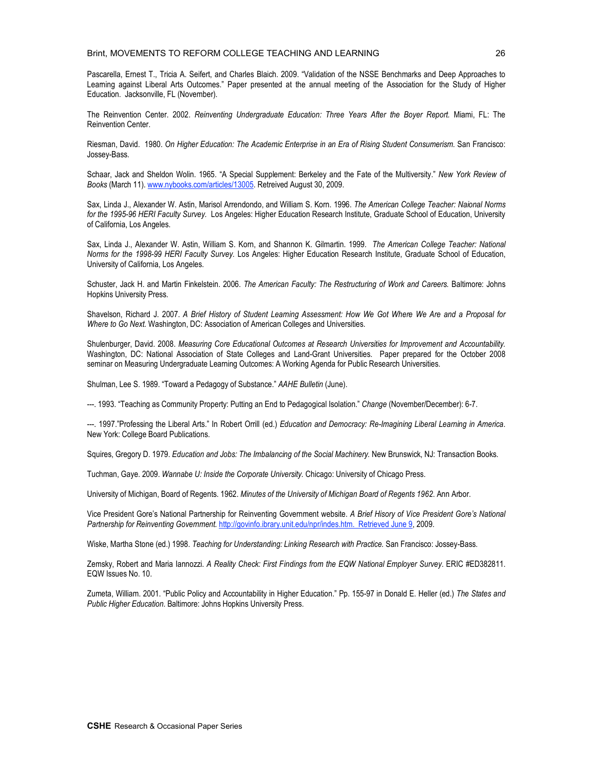Pascarella, Ernest T., Tricia A. Seifert, and Charles Blaich. 2009. "Validation of the NSSE Benchmarks and Deep Approaches to Learning against Liberal Arts Outcomes." Paper presented at the annual meeting of the Association for the Study of Higher Education. Jacksonville, FL (November).

The Reinvention Center. 2002. *Reinventing Undergraduate Education: Three Years After the Boyer Report.* Miami, FL: The Reinvention Center.

Riesman, David. 1980. *On Higher Education: The Academic Enterprise in an Era of Rising Student Consumerism.* San Francisco: Jossey-Bass.

Schaar, Jack and Sheldon Wolin. 1965. "A Special Supplement: Berkeley and the Fate of the Multiversity." *New York Review of Books* (March 11). www.nybooks.com/articles/13005. Retreived August 30, 2009.

Sax, Linda J., Alexander W. Astin, Marisol Arrendondo, and William S. Korn. 1996. *The American College Teacher: Naional Norms for the 1995-96 HERI Faculty Survey.* Los Angeles: Higher Education Research Institute, Graduate School of Education, University of California, Los Angeles.

Sax, Linda J., Alexander W. Astin, William S. Korn, and Shannon K. Gilmartin. 1999. *The American College Teacher: National Norms for the 1998-99 HERI Faculty Survey.* Los Angeles: Higher Education Research Institute, Graduate School of Education, University of California, Los Angeles.

Schuster, Jack H. and Martin Finkelstein. 2006. *The American Faculty: The Restructuring of Work and Careers.* Baltimore: Johns Hopkins University Press.

Shavelson, Richard J. 2007. A Brief History of Student Learning Assessment: How We Got Where We Are and a Proposal for *Where to Go Next.* Washington, DC: Association of American Colleges and Universities.

Shulenburger, David. 2008. *Measuring Core Educational Outcomes at Research Universities for Improvement and Accountability.* Washington, DC: National Association of State Colleges and Land-Grant Universities. Paper prepared for the October 2008 seminar on Measuring Undergraduate Learning Outcomes: A Working Agenda for Public Research Universities.

Shulman, Lee S. 1989. "Toward a Pedagogy of Substance." *AAHE Bulletin* (June).

---. 1993. "Teaching as Community Property: Putting an End to Pedagogical Isolation." *Change* (November/December): 6-7.

---. 1997."Professing the Liberal Arts." In Robert Orrill (ed.) *Education and Democracy: Re-Imagining Liberal Learning in America*. New York: College Board Publications.

Squires, Gregory D. 1979. *Education and Jobs: The Imbalancing of the Social Machinery.* New Brunswick, NJ: Transaction Books.

Tuchman, Gaye. 2009. *Wannabe U: Inside the Corporate University.* Chicago: University of Chicago Press.

University of Michigan, Board of Regents. 1962. *Minutes of the University of Michigan Board of Regents 1962*. Ann Arbor.

Vice President Gore's National Partnership for Reinventing Government website. *A Brief Hisory of Vice President Gore's National Partnership for Reinventing Government.* http://govinfo.ibrary.unit.edu/npr/indes.htm. Retrieved June 9, 2009.

Wiske, Martha Stone (ed.) 1998. *Teaching for Understanding: Linking Research with Practice.* San Francisco: Jossey-Bass.

Zemsky, Robert and Maria Iannozzi. *A Reality Check: First Findings from the EQW National Employer Survey*. ERIC #ED382811. EQW Issues No. 10.

Zumeta, William. 2001. "Public Policy and Accountability in Higher Education." Pp. 155-97 in Donald E. Heller (ed.) *The States and Public Higher Education.* Baltimore: Johns Hopkins University Press.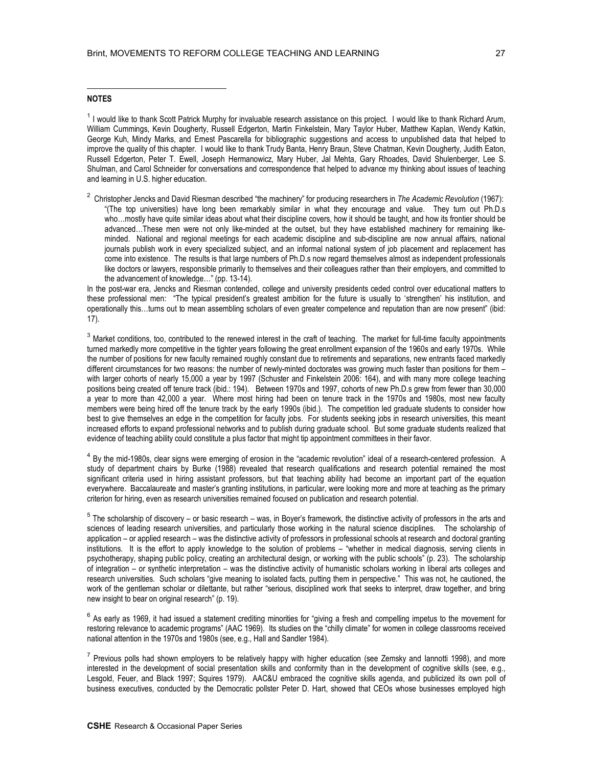#### **NOTES**

 $\overline{a}$ 

<sup>1</sup> I would like to thank Scott Patrick Murphy for invaluable research assistance on this project. I would like to thank Richard Arum, William Cummings, Kevin Dougherty, Russell Edgerton, Martin Finkelstein, Mary Taylor Huber, Matthew Kaplan, Wendy Katkin, George Kuh, Mindy Marks, and Ernest Pascarella for bibliographic suggestions and access to unpublished data that helped to improve the quality of this chapter. I would like to thank Trudy Banta, Henry Braun, Steve Chatman, Kevin Dougherty, Judith Eaton, Russell Edgerton, Peter T. Ewell, Joseph Hermanowicz, Mary Huber, Jal Mehta, Gary Rhoades, David Shulenberger, Lee S. Shulman, and Carol Schneider for conversations and correspondence that helped to advance my thinking about issues of teaching and learning in U.S. higher education.

<sup>2</sup> Christopher Jencks and David Riesman described "the machinery" for producing researchers in *The Academic Revolution* (1967): "(The top universities) have long been remarkably similar in what they encourage and value. They turn out Ph.D.s who...mostly have quite similar ideas about what their discipline covers, how it should be taught, and how its frontier should be advanced…These men were not only like-minded at the outset, but they have established machinery for remaining likeminded. National and regional meetings for each academic discipline and sub-discipline are now annual affairs, national journals publish work in every specialized subject, and an informal national system of job placement and replacement has come into existence. The results is that large numbers of Ph.D.s now regard themselves almost as independent professionals like doctors or lawyers, responsible primarily to themselves and their colleagues rather than their employers, and committed to the advancement of knowledge…" (pp. 13-14).

In the post-war era, Jencks and Riesman contended, college and university presidents ceded control over educational matters to these professional men: "The typical president's greatest ambition for the future is usually to 'strengthen' his institution, and operationally this…turns out to mean assembling scholars of even greater competence and reputation than are now present" (ibid: 17).

<sup>3</sup> Market conditions, too, contributed to the renewed interest in the craft of teaching. The market for full-time faculty appointments turned markedly more competitive in the tighter years following the great enrollment expansion of the 1960s and early 1970s. While the number of positions for new faculty remained roughly constant due to retirements and separations, new entrants faced markedly different circumstances for two reasons: the number of newly-minted doctorates was growing much faster than positions for them – with larger cohorts of nearly 15,000 a year by 1997 (Schuster and Finkelstein 2006: 164), and with many more college teaching positions being created off tenure track (ibid.: 194). Between 1970s and 1997, cohorts of new Ph.D.s grew from fewer than 30,000 a year to more than 42,000 a year. Where most hiring had been on tenure track in the 1970s and 1980s, most new faculty members were being hired off the tenure track by the early 1990s (ibid.). The competition led graduate students to consider how best to give themselves an edge in the competition for faculty jobs. For students seeking jobs in research universities, this meant increased efforts to expand professional networks and to publish during graduate school. But some graduate students realized that evidence of teaching ability could constitute a plus factor that might tip appointment committees in their favor.

<sup>4</sup> By the mid-1980s, clear signs were emerging of erosion in the "academic revolution" ideal of a research-centered profession. A study of department chairs by Burke (1988) revealed that research qualifications and research potential remained the most significant criteria used in hiring assistant professors, but that teaching ability had become an important part of the equation everywhere. Baccalaureate and master's granting institutions, in particular, were looking more and more at teaching as the primary criterion for hiring, even as research universities remained focused on publication and research potential.

 $5$  The scholarship of discovery – or basic research – was, in Boyer's framework, the distinctive activity of professors in the arts and sciences of leading research universities, and particularly those working in the natural science disciplines. The scholarship of application – or applied research – was the distinctive activity of professors in professional schools at research and doctoral granting institutions. It is the effort to apply knowledge to the solution of problems – "whether in medical diagnosis, serving clients in psychotherapy, shaping public policy, creating an architectural design, or working with the public schools" (p. 23). The scholarship of integration – or synthetic interpretation – was the distinctive activity of humanistic scholars working in liberal arts colleges and research universities. Such scholars "give meaning to isolated facts, putting them in perspective." This was not, he cautioned, the work of the gentleman scholar or dilettante, but rather "serious, disciplined work that seeks to interpret, draw together, and bring new insight to bear on original research" (p. 19).

 $6$  As early as 1969, it had issued a statement crediting minorities for "giving a fresh and compelling impetus to the movement for restoring relevance to academic programs" (AAC 1969). Its studies on the "chilly climate" for women in college classrooms received national attention in the 1970s and 1980s (see, e.g., Hall and Sandler 1984).

 $<sup>7</sup>$  Previous polls had shown employers to be relatively happy with higher education (see Zemsky and lannotti 1998), and more</sup> interested in the development of social presentation skills and conformity than in the development of cognitive skills (see, e.g., Lesgold, Feuer, and Black 1997; Squires 1979). AAC&U embraced the cognitive skills agenda, and publicized its own poll of business executives, conducted by the Democratic pollster Peter D. Hart, showed that CEOs whose businesses employed high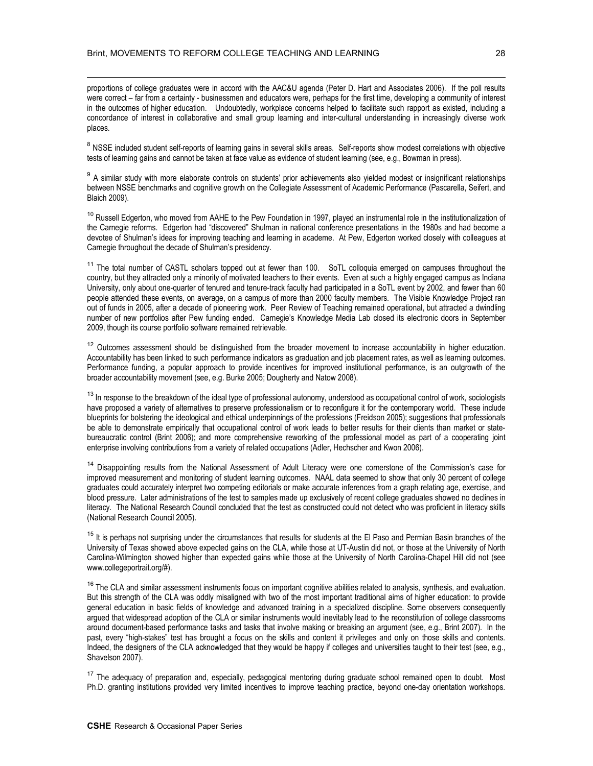$\overline{a}$ 

proportions of college graduates were in accord with the AAC&U agenda (Peter D. Hart and Associates 2006). If the poll results were correct – far from a certainty - businessmen and educators were, perhaps for the first time, developing a community of interest in the outcomes of higher education. Undoubtedly, workplace concerns helped to facilitate such rapport as existed, including a concordance of interest in collaborative and small group learning and inter-cultural understanding in increasingly diverse work places.

<sup>8</sup> NSSE included student self-reports of learning gains in several skills areas. Self-reports show modest correlations with objective tests of learning gains and cannot be taken at face value as evidence of student learning (see, e.g., Bowman in press).

<sup>9</sup> A similar study with more elaborate controls on students' prior achievements also yielded modest or insignificant relationships between NSSE benchmarks and cognitive growth on the Collegiate Assessment of Academic Performance (Pascarella, Seifert, and Blaich 2009).

<sup>10</sup> Russell Edgerton, who moved from AAHE to the Pew Foundation in 1997, played an instrumental role in the institutionalization of the Carnegie reforms. Edgerton had "discovered" Shulman in national conference presentations in the 1980s and had become a devotee of Shulman's ideas for improving teaching and learning in academe. At Pew, Edgerton worked closely with colleagues at Carnegie throughout the decade of Shulman's presidency.

<sup>11</sup> The total number of CASTL scholars topped out at fewer than 100. SoTL colloquia emerged on campuses throughout the country, but they attracted only a minority of motivated teachers to their events. Even at such a highly engaged campus as Indiana University, only about one-quarter of tenured and tenure-track faculty had participated in a SoTL event by 2002, and fewer than 60 people attended these events, on average, on a campus of more than 2000 faculty members. The Visible Knowledge Project ran out of funds in 2005, after a decade of pioneering work. Peer Review of Teaching remained operational, but attracted a dwindling number of new portfolios after Pew funding ended. Carnegie's Knowledge Media Lab closed its electronic doors in September 2009, though its course portfolio software remained retrievable.

<sup>12</sup> Outcomes assessment should be distinguished from the broader movement to increase accountability in higher education. Accountability has been linked to such performance indicators as graduation and job placement rates, as well as learning outcomes. Performance funding, a popular approach to provide incentives for improved institutional performance, is an outgrowth of the broader accountability movement (see, e.g. Burke 2005; Dougherty and Natow 2008).

 $13$  In response to the breakdown of the ideal type of professional autonomy, understood as occupational control of work, sociologists have proposed a variety of alternatives to preserve professionalism or to reconfigure it for the contemporary world. These include blueprints for bolstering the ideological and ethical underpinnings of the professions (Freidson 2005); suggestions that professionals be able to demonstrate empirically that occupational control of work leads to better results for their clients than market or statebureaucratic control (Brint 2006); and more comprehensive reworking of the professional model as part of a cooperating joint enterprise involving contributions from a variety of related occupations (Adler, Hechscher and Kwon 2006).

<sup>14</sup> Disappointing results from the National Assessment of Adult Literacy were one cornerstone of the Commission's case for improved measurement and monitoring of student learning outcomes. NAAL data seemed to show that only 30 percent of college graduates could accurately interpret two competing editorials or make accurate inferences from a graph relating age, exercise, and blood pressure. Later administrations of the test to samples made up exclusively of recent college graduates showed no declines in literacy. The National Research Council concluded that the test as constructed could not detect who was proficient in literacy skills (National Research Council 2005).

<sup>15</sup> It is perhaps not surprising under the circumstances that results for students at the EI Paso and Permian Basin branches of the University of Texas showed above expected gains on the CLA, while those at UT-Austin did not, or those at the University of North Carolina-Wilmington showed higher than expected gains while those at the University of North Carolina-Chapel Hill did not (see www.collegeportrait.org/#).

<sup>16</sup> The CLA and similar assessment instruments focus on important cognitive abilities related to analysis, synthesis, and evaluation. But this strength of the CLA was oddly misaligned with two of the most important traditional aims of higher education: to provide general education in basic fields of knowledge and advanced training in a specialized discipline. Some observers consequently argued that widespread adoption of the CLA or similar instruments would inevitably lead to the reconstitution of college classrooms around document-based performance tasks and tasks that involve making or breaking an argument (see, e.g., Brint 2007). In the past, every "high-stakes" test has brought a focus on the skills and content it privileges and only on those skills and contents. Indeed, the designers of the CLA acknowledged that they would be happy if colleges and universities taught to their test (see, e.g., Shavelson 2007).

<sup>17</sup> The adequacy of preparation and, especially, pedagogical mentoring during graduate school remained open to doubt. Most Ph.D. granting institutions provided very limited incentives to improve teaching practice, beyond one-day orientation workshops.